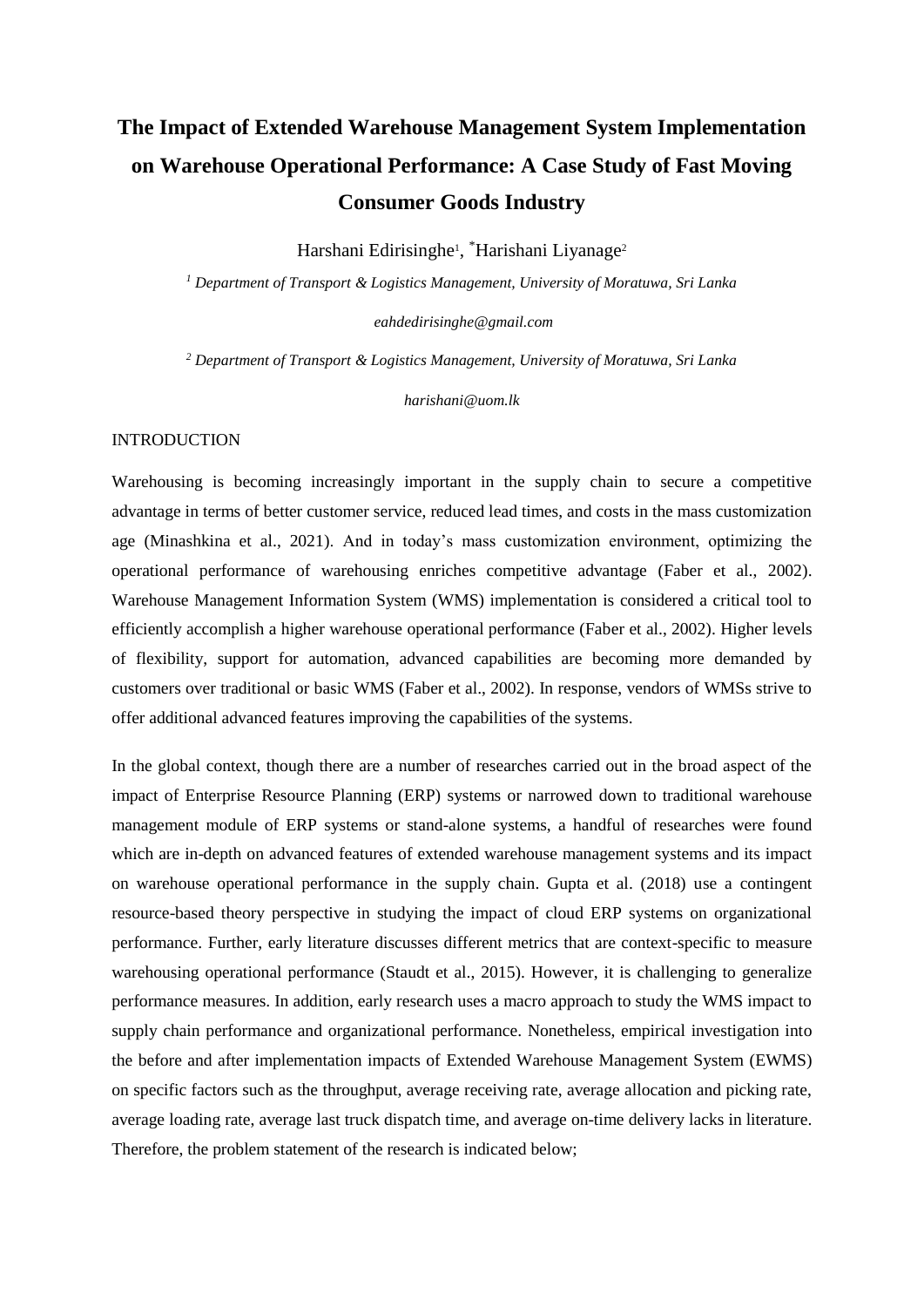# **The Impact of Extended Warehouse Management System Implementation on Warehouse Operational Performance: A Case Study of Fast Moving Consumer Goods Industry**

Harshani Edirisinghe<sup>1</sup>, <sup>\*</sup>Harishani Liyanage<sup>2</sup>

*<sup>1</sup> Department of Transport & Logistics Management, University of Moratuwa, Sri Lanka*

*eahdedirisinghe@gmail.com*

*<sup>2</sup> Department of Transport & Logistics Management, University of Moratuwa, Sri Lanka* 

*harishani@uom.lk*

# INTRODUCTION

Warehousing is becoming increasingly important in the supply chain to secure a competitive advantage in terms of better customer service, reduced lead times, and costs in the mass customization age (Minashkina et al., 2021). And in today's mass customization environment, optimizing the operational performance of warehousing enriches competitive advantage (Faber et al., 2002). Warehouse Management Information System (WMS) implementation is considered a critical tool to efficiently accomplish a higher warehouse operational performance (Faber et al., 2002). Higher levels of flexibility, support for automation, advanced capabilities are becoming more demanded by customers over traditional or basic WMS (Faber et al., 2002). In response, vendors of WMSs strive to offer additional advanced features improving the capabilities of the systems.

In the global context, though there are a number of researches carried out in the broad aspect of the impact of Enterprise Resource Planning (ERP) systems or narrowed down to traditional warehouse management module of ERP systems or stand-alone systems, a handful of researches were found which are in-depth on advanced features of extended warehouse management systems and its impact on warehouse operational performance in the supply chain. Gupta et al. (2018) use a contingent resource-based theory perspective in studying the impact of cloud ERP systems on organizational performance. Further, early literature discusses different metrics that are context-specific to measure warehousing operational performance (Staudt et al., 2015). However, it is challenging to generalize performance measures. In addition, early research uses a macro approach to study the WMS impact to supply chain performance and organizational performance. Nonetheless, empirical investigation into the before and after implementation impacts of Extended Warehouse Management System (EWMS) on specific factors such as the throughput, average receiving rate, average allocation and picking rate, average loading rate, average last truck dispatch time, and average on-time delivery lacks in literature. Therefore, the problem statement of the research is indicated below;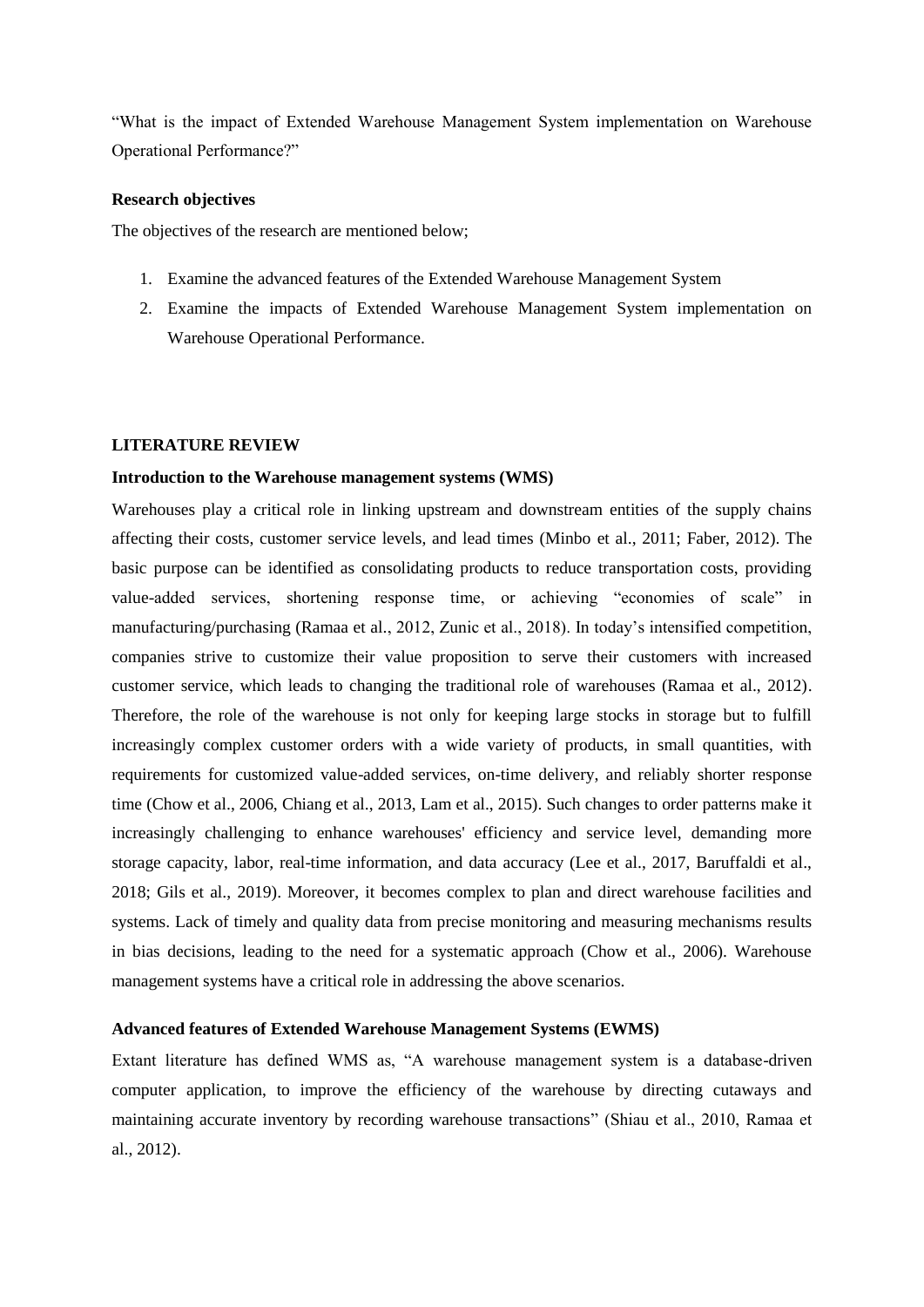"What is the impact of Extended Warehouse Management System implementation on Warehouse Operational Performance?"

### **Research objectives**

The objectives of the research are mentioned below:

- 1. Examine the advanced features of the Extended Warehouse Management System
- 2. Examine the impacts of Extended Warehouse Management System implementation on Warehouse Operational Performance.

#### **LITERATURE REVIEW**

#### **Introduction to the Warehouse management systems (WMS)**

Warehouses play a critical role in linking upstream and downstream entities of the supply chains affecting their costs, customer service levels, and lead times (Minbo et al., 2011; Faber, 2012). The basic purpose can be identified as consolidating products to reduce transportation costs, providing value-added services, shortening response time, or achieving "economies of scale" in manufacturing/purchasing (Ramaa et al., 2012, Zunic et al., 2018). In today's intensified competition, companies strive to customize their value proposition to serve their customers with increased customer service, which leads to changing the traditional role of warehouses (Ramaa et al., 2012). Therefore, the role of the warehouse is not only for keeping large stocks in storage but to fulfill increasingly complex customer orders with a wide variety of products, in small quantities, with requirements for customized value-added services, on-time delivery, and reliably shorter response time (Chow et al., 2006, Chiang et al., 2013, Lam et al., 2015). Such changes to order patterns make it increasingly challenging to enhance warehouses' efficiency and service level, demanding more storage capacity, labor, real-time information, and data accuracy (Lee et al., 2017, Baruffaldi et al., 2018; Gils et al., 2019). Moreover, it becomes complex to plan and direct warehouse facilities and systems. Lack of timely and quality data from precise monitoring and measuring mechanisms results in bias decisions, leading to the need for a systematic approach (Chow et al., 2006). Warehouse management systems have a critical role in addressing the above scenarios.

# **Advanced features of Extended Warehouse Management Systems (EWMS)**

Extant literature has defined WMS as, "A warehouse management system is a database-driven computer application, to improve the efficiency of the warehouse by directing cutaways and maintaining accurate inventory by recording warehouse transactions" (Shiau et al., 2010, Ramaa et al., 2012).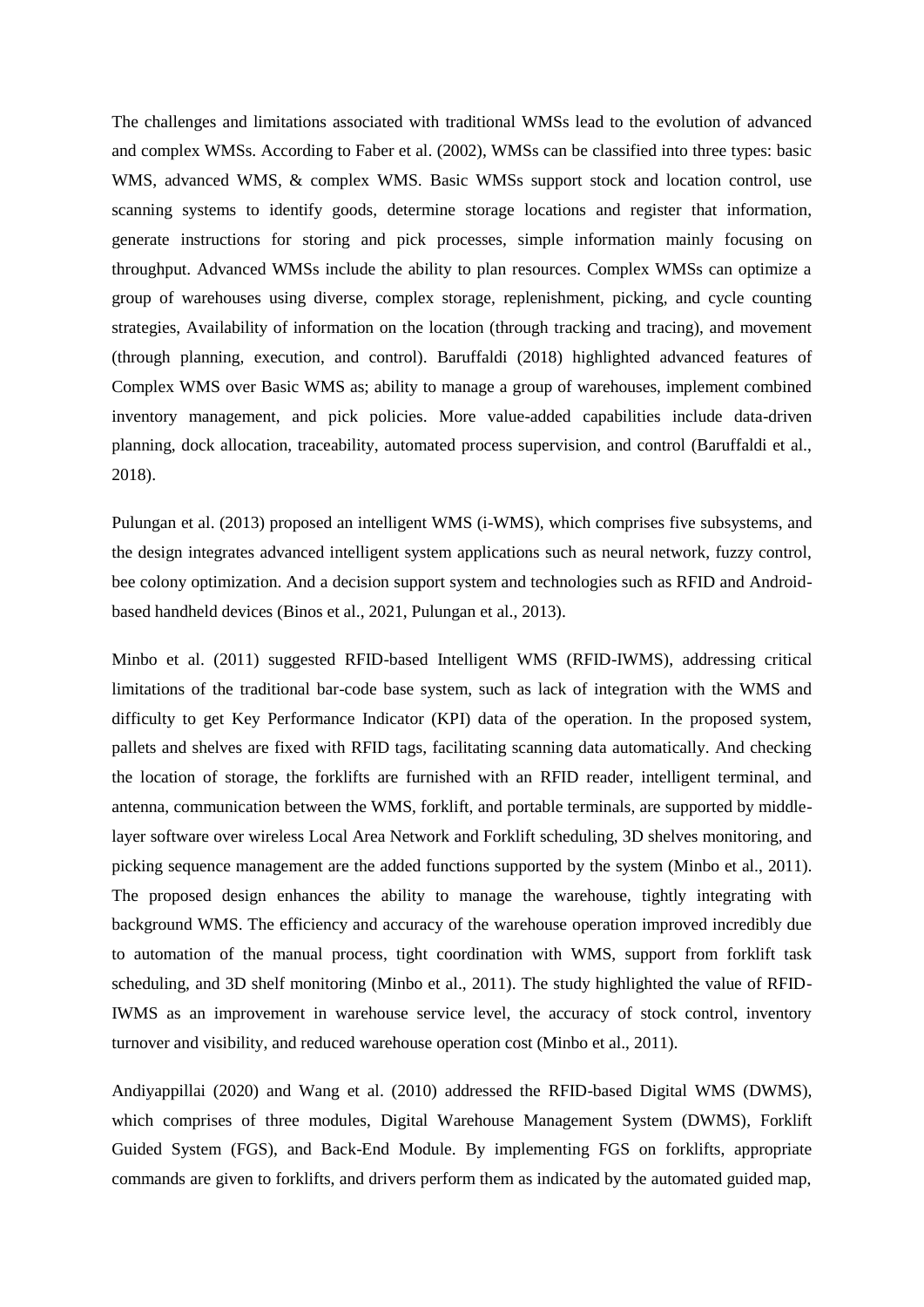The challenges and limitations associated with traditional WMSs lead to the evolution of advanced and complex WMSs. According to Faber et al. (2002), WMSs can be classified into three types: basic WMS, advanced WMS, & complex WMS. Basic WMSs support stock and location control, use scanning systems to identify goods, determine storage locations and register that information, generate instructions for storing and pick processes, simple information mainly focusing on throughput. Advanced WMSs include the ability to plan resources. Complex WMSs can optimize a group of warehouses using diverse, complex storage, replenishment, picking, and cycle counting strategies, Availability of information on the location (through tracking and tracing), and movement (through planning, execution, and control). Baruffaldi (2018) highlighted advanced features of Complex WMS over Basic WMS as; ability to manage a group of warehouses, implement combined inventory management, and pick policies. More value-added capabilities include data-driven planning, dock allocation, traceability, automated process supervision, and control (Baruffaldi et al., 2018).

Pulungan et al. (2013) proposed an intelligent WMS (i-WMS), which comprises five subsystems, and the design integrates advanced intelligent system applications such as neural network, fuzzy control, bee colony optimization. And a decision support system and technologies such as RFID and Androidbased handheld devices (Binos et al., 2021, Pulungan et al., 2013).

Minbo et al. (2011) suggested RFID-based Intelligent WMS (RFID-IWMS), addressing critical limitations of the traditional bar-code base system, such as lack of integration with the WMS and difficulty to get Key Performance Indicator (KPI) data of the operation. In the proposed system, pallets and shelves are fixed with RFID tags, facilitating scanning data automatically. And checking the location of storage, the forklifts are furnished with an RFID reader, intelligent terminal, and antenna, communication between the WMS, forklift, and portable terminals, are supported by middlelayer software over wireless Local Area Network and Forklift scheduling, 3D shelves monitoring, and picking sequence management are the added functions supported by the system (Minbo et al., 2011). The proposed design enhances the ability to manage the warehouse, tightly integrating with background WMS. The efficiency and accuracy of the warehouse operation improved incredibly due to automation of the manual process, tight coordination with WMS, support from forklift task scheduling, and 3D shelf monitoring (Minbo et al., 2011). The study highlighted the value of RFID-IWMS as an improvement in warehouse service level, the accuracy of stock control, inventory turnover and visibility, and reduced warehouse operation cost (Minbo et al., 2011).

Andiyappillai (2020) and Wang et al. (2010) addressed the RFID-based Digital WMS (DWMS), which comprises of three modules, Digital Warehouse Management System (DWMS), Forklift Guided System (FGS), and Back-End Module. By implementing FGS on forklifts, appropriate commands are given to forklifts, and drivers perform them as indicated by the automated guided map,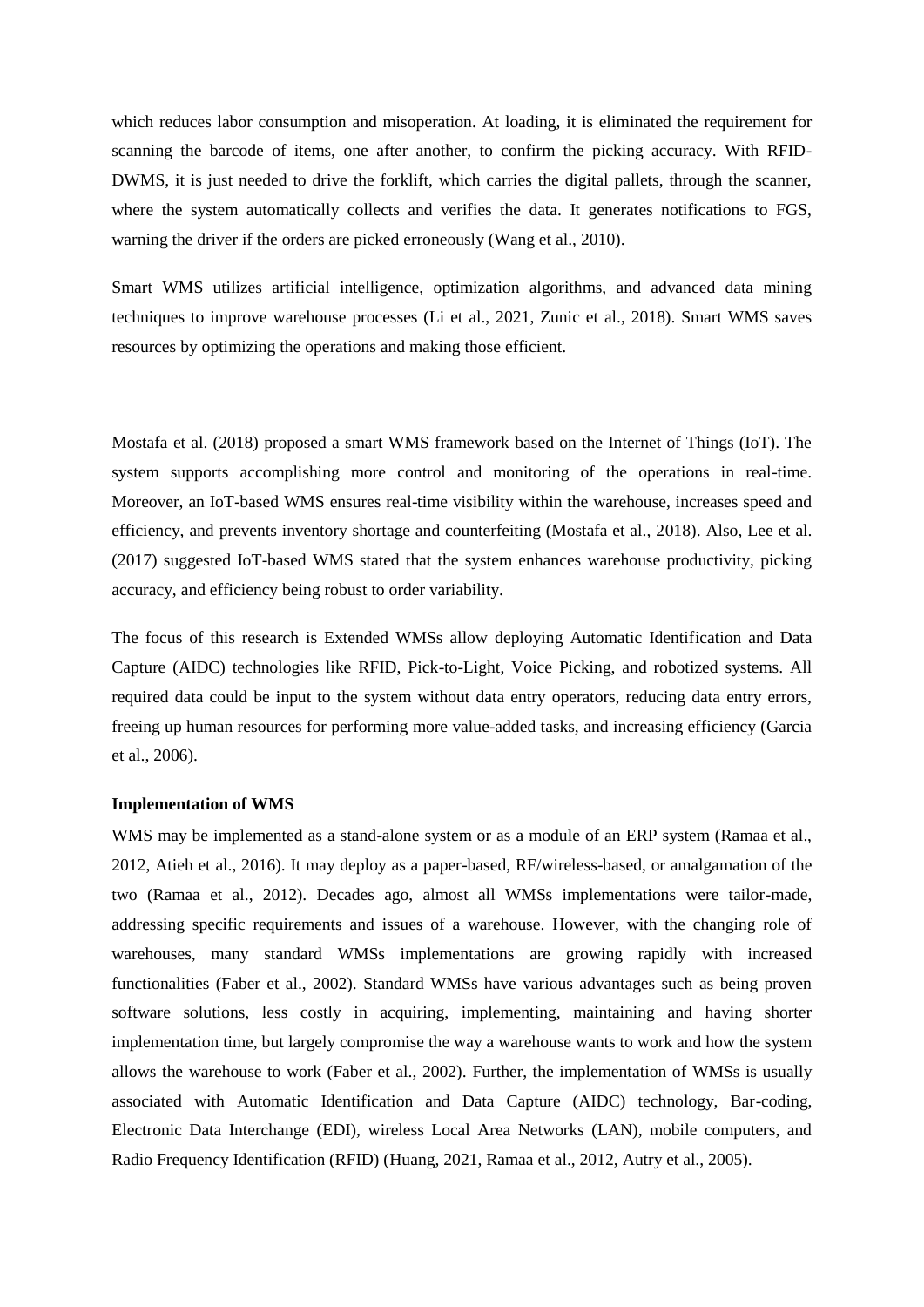which reduces labor consumption and misoperation. At loading, it is eliminated the requirement for scanning the barcode of items, one after another, to confirm the picking accuracy. With RFID-DWMS, it is just needed to drive the forklift, which carries the digital pallets, through the scanner, where the system automatically collects and verifies the data. It generates notifications to FGS, warning the driver if the orders are picked erroneously (Wang et al., 2010).

Smart WMS utilizes artificial intelligence, optimization algorithms, and advanced data mining techniques to improve warehouse processes (Li et al., 2021, Zunic et al., 2018). Smart WMS saves resources by optimizing the operations and making those efficient.

Mostafa et al. (2018) proposed a smart WMS framework based on the Internet of Things (IoT). The system supports accomplishing more control and monitoring of the operations in real-time. Moreover, an IoT-based WMS ensures real-time visibility within the warehouse, increases speed and efficiency, and prevents inventory shortage and counterfeiting (Mostafa et al., 2018). Also, Lee et al. (2017) suggested IoT-based WMS stated that the system enhances warehouse productivity, picking accuracy, and efficiency being robust to order variability.

The focus of this research is Extended WMSs allow deploying Automatic Identification and Data Capture (AIDC) technologies like RFID, Pick-to-Light, Voice Picking, and robotized systems. All required data could be input to the system without data entry operators, reducing data entry errors, freeing up human resources for performing more value-added tasks, and increasing efficiency (Garcia et al., 2006).

### **Implementation of WMS**

WMS may be implemented as a stand-alone system or as a module of an ERP system (Ramaa et al., 2012, Atieh et al., 2016). It may deploy as a paper-based, RF/wireless-based, or amalgamation of the two (Ramaa et al., 2012). Decades ago, almost all WMSs implementations were tailor-made, addressing specific requirements and issues of a warehouse. However, with the changing role of warehouses, many standard WMSs implementations are growing rapidly with increased functionalities (Faber et al., 2002). Standard WMSs have various advantages such as being proven software solutions, less costly in acquiring, implementing, maintaining and having shorter implementation time, but largely compromise the way a warehouse wants to work and how the system allows the warehouse to work (Faber et al., 2002). Further, the implementation of WMSs is usually associated with Automatic Identification and Data Capture (AIDC) technology, Bar-coding, Electronic Data Interchange (EDI), wireless Local Area Networks (LAN), mobile computers, and Radio Frequency Identification (RFID) (Huang, 2021, Ramaa et al., 2012, Autry et al., 2005).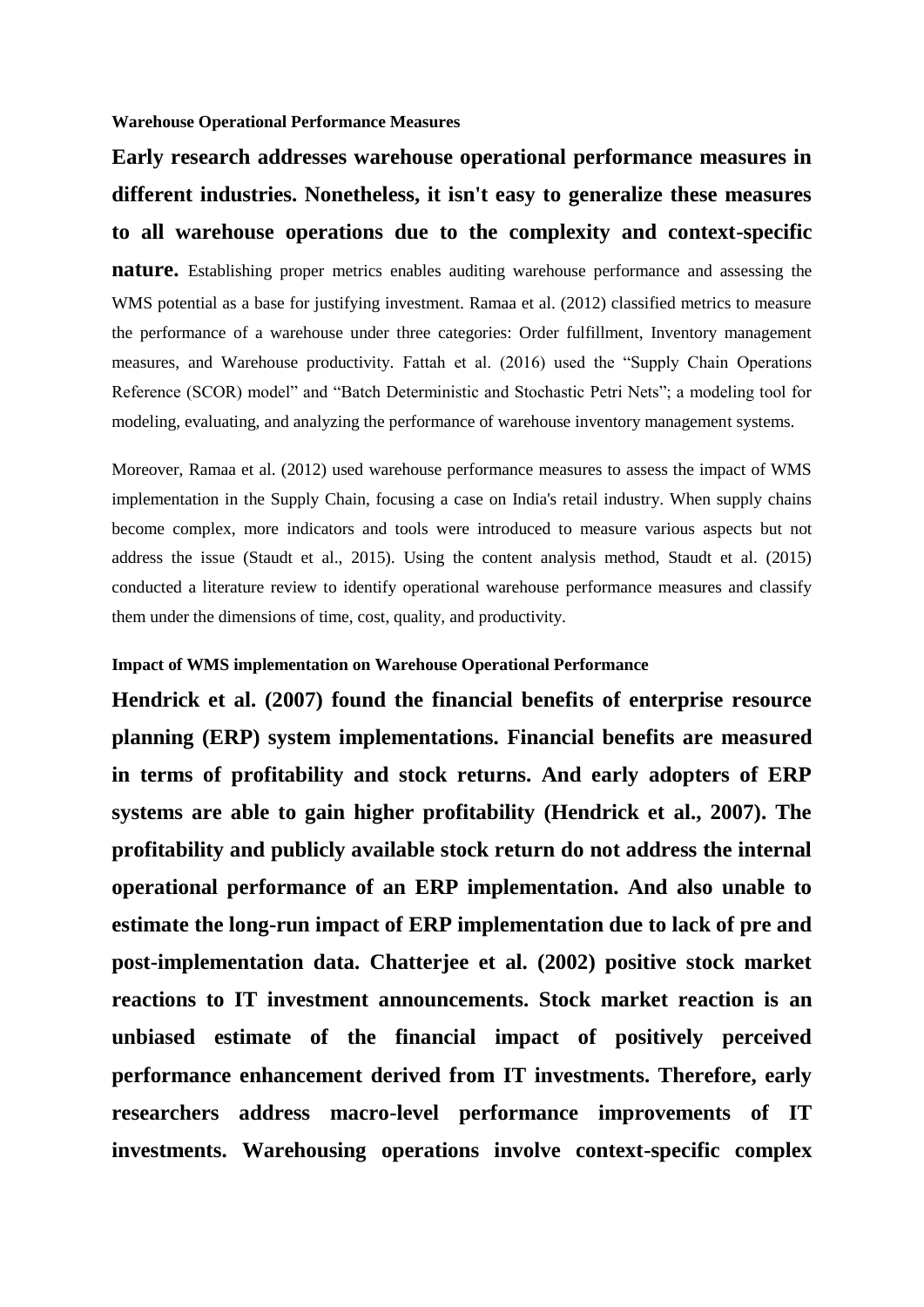**Warehouse Operational Performance Measures**

# **Early research addresses warehouse operational performance measures in different industries. Nonetheless, it isn't easy to generalize these measures to all warehouse operations due to the complexity and context-specific**

**nature.** Establishing proper metrics enables auditing warehouse performance and assessing the WMS potential as a base for justifying investment. Ramaa et al. (2012) classified metrics to measure the performance of a warehouse under three categories: Order fulfillment, Inventory management measures, and Warehouse productivity. Fattah et al. (2016) used the "Supply Chain Operations Reference (SCOR) model" and "Batch Deterministic and Stochastic Petri Nets"; a modeling tool for modeling, evaluating, and analyzing the performance of warehouse inventory management systems.

Moreover, Ramaa et al. (2012) used warehouse performance measures to assess the impact of WMS implementation in the Supply Chain, focusing a case on India's retail industry. When supply chains become complex, more indicators and tools were introduced to measure various aspects but not address the issue (Staudt et al., 2015). Using the content analysis method, Staudt et al. (2015) conducted a literature review to identify operational warehouse performance measures and classify them under the dimensions of time, cost, quality, and productivity.

# **Impact of WMS implementation on Warehouse Operational Performance**

**Hendrick et al. (2007) found the financial benefits of enterprise resource planning (ERP) system implementations. Financial benefits are measured in terms of profitability and stock returns. And early adopters of ERP systems are able to gain higher profitability (Hendrick et al., 2007). The profitability and publicly available stock return do not address the internal operational performance of an ERP implementation. And also unable to estimate the long-run impact of ERP implementation due to lack of pre and post-implementation data. Chatterjee et al. (2002) positive stock market reactions to IT investment announcements. Stock market reaction is an unbiased estimate of the financial impact of positively perceived performance enhancement derived from IT investments. Therefore, early researchers address macro-level performance improvements of IT investments. Warehousing operations involve context-specific complex**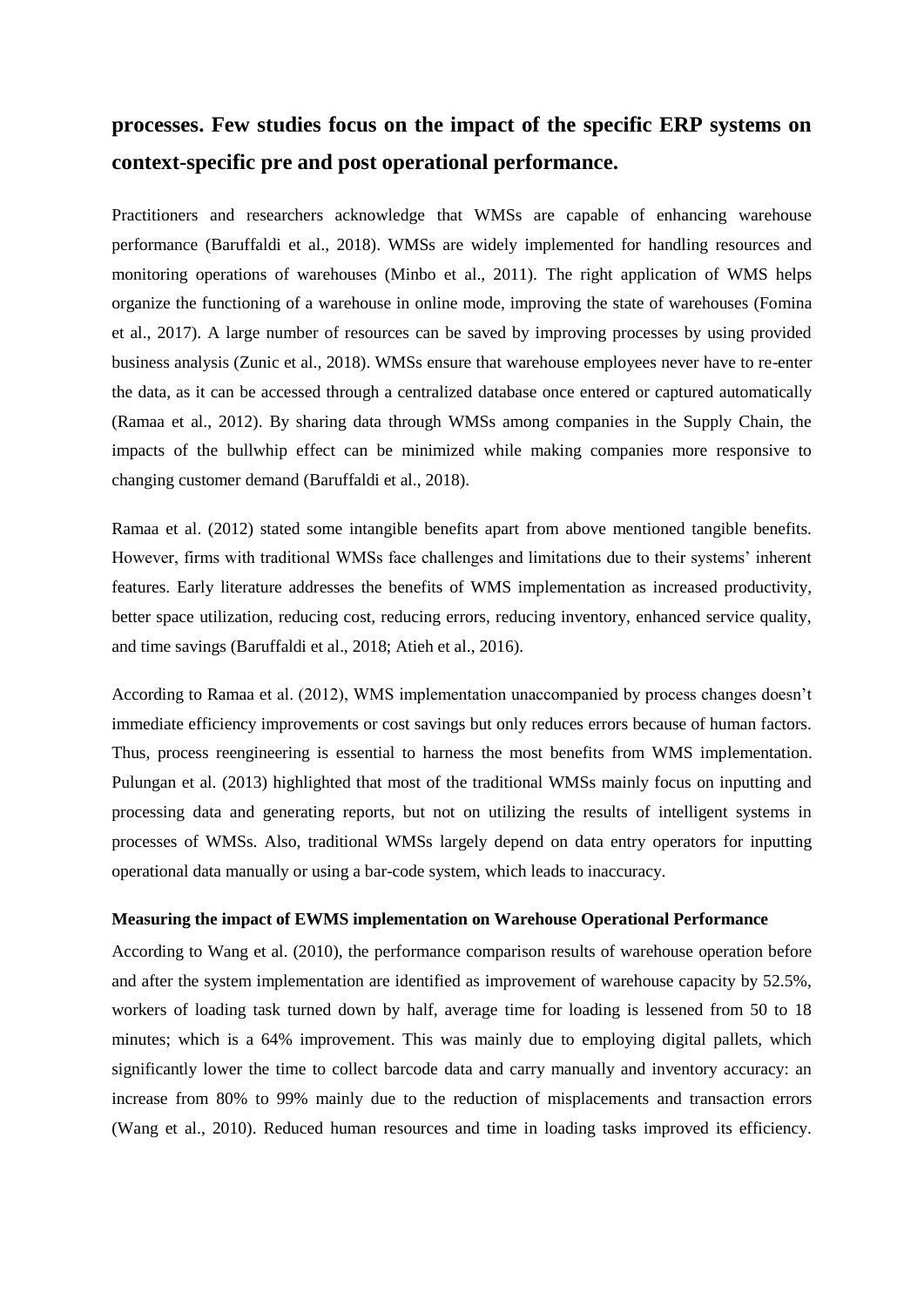# **processes. Few studies focus on the impact of the specific ERP systems on context-specific pre and post operational performance.**

Practitioners and researchers acknowledge that WMSs are capable of enhancing warehouse performance (Baruffaldi et al., 2018). WMSs are widely implemented for handling resources and monitoring operations of warehouses (Minbo et al., 2011). The right application of WMS helps organize the functioning of a warehouse in online mode, improving the state of warehouses (Fomina et al., 2017). A large number of resources can be saved by improving processes by using provided business analysis (Zunic et al., 2018). WMSs ensure that warehouse employees never have to re-enter the data, as it can be accessed through a centralized database once entered or captured automatically (Ramaa et al., 2012). By sharing data through WMSs among companies in the Supply Chain, the impacts of the bullwhip effect can be minimized while making companies more responsive to changing customer demand (Baruffaldi et al., 2018).

Ramaa et al. (2012) stated some intangible benefits apart from above mentioned tangible benefits. However, firms with traditional WMSs face challenges and limitations due to their systems' inherent features. Early literature addresses the benefits of WMS implementation as increased productivity, better space utilization, reducing cost, reducing errors, reducing inventory, enhanced service quality, and time savings (Baruffaldi et al., 2018; Atieh et al., 2016).

According to Ramaa et al. (2012), WMS implementation unaccompanied by process changes doesn't immediate efficiency improvements or cost savings but only reduces errors because of human factors. Thus, process reengineering is essential to harness the most benefits from WMS implementation. Pulungan et al. (2013) highlighted that most of the traditional WMSs mainly focus on inputting and processing data and generating reports, but not on utilizing the results of intelligent systems in processes of WMSs. Also, traditional WMSs largely depend on data entry operators for inputting operational data manually or using a bar-code system, which leads to inaccuracy.

# **Measuring the impact of EWMS implementation on Warehouse Operational Performance**

According to Wang et al. (2010), the performance comparison results of warehouse operation before and after the system implementation are identified as improvement of warehouse capacity by 52.5%, workers of loading task turned down by half, average time for loading is lessened from 50 to 18 minutes; which is a 64% improvement. This was mainly due to employing digital pallets, which significantly lower the time to collect barcode data and carry manually and inventory accuracy: an increase from 80% to 99% mainly due to the reduction of misplacements and transaction errors (Wang et al., 2010). Reduced human resources and time in loading tasks improved its efficiency.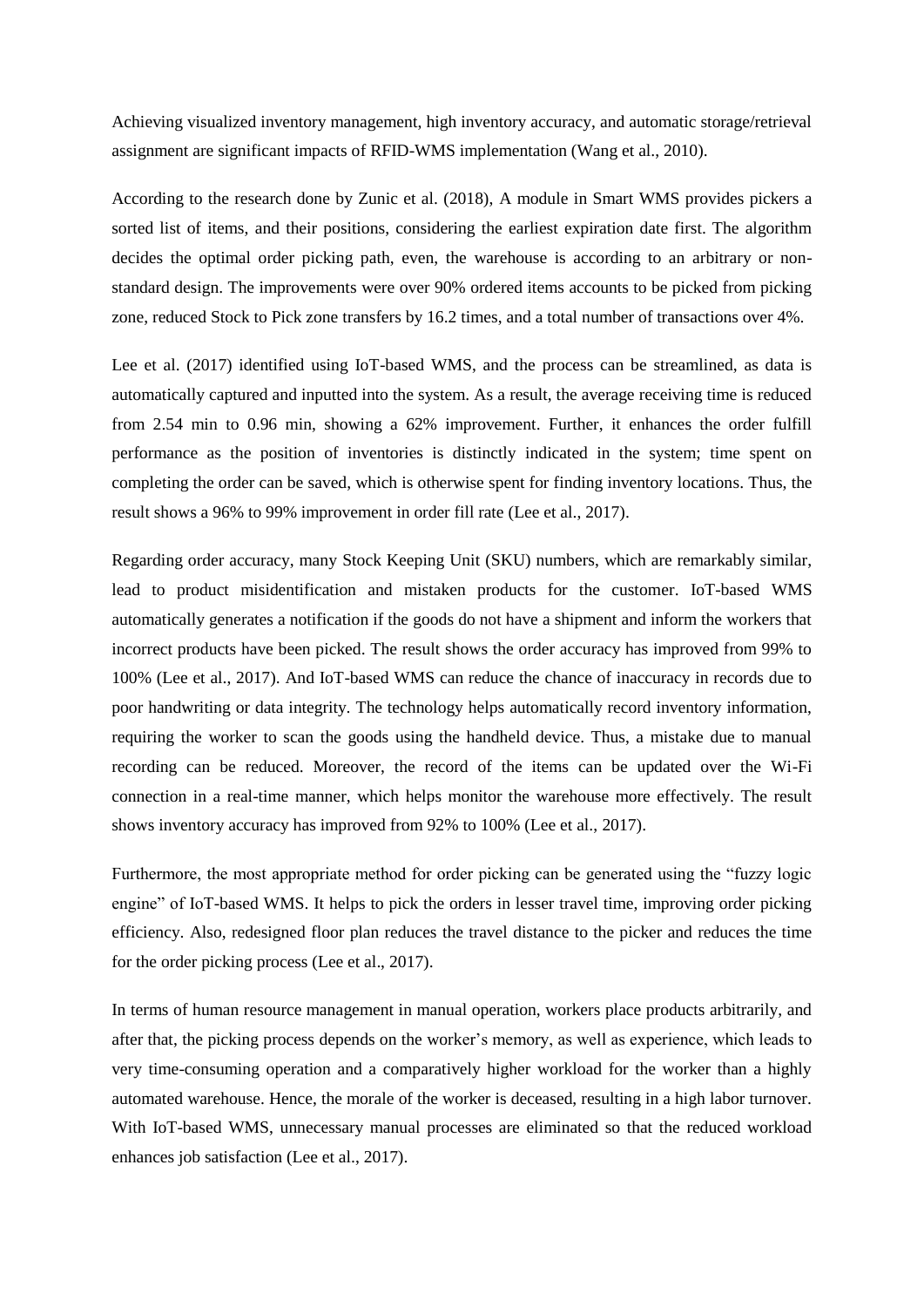Achieving visualized inventory management, high inventory accuracy, and automatic storage/retrieval assignment are significant impacts of RFID-WMS implementation (Wang et al., 2010).

According to the research done by Zunic et al. (2018), A module in Smart WMS provides pickers a sorted list of items, and their positions, considering the earliest expiration date first. The algorithm decides the optimal order picking path, even, the warehouse is according to an arbitrary or nonstandard design. The improvements were over 90% ordered items accounts to be picked from picking zone, reduced Stock to Pick zone transfers by 16.2 times, and a total number of transactions over 4%.

Lee et al. (2017) identified using IoT-based WMS, and the process can be streamlined, as data is automatically captured and inputted into the system. As a result, the average receiving time is reduced from 2.54 min to 0.96 min, showing a 62% improvement. Further, it enhances the order fulfill performance as the position of inventories is distinctly indicated in the system; time spent on completing the order can be saved, which is otherwise spent for finding inventory locations. Thus, the result shows a 96% to 99% improvement in order fill rate (Lee et al., 2017).

Regarding order accuracy, many Stock Keeping Unit (SKU) numbers, which are remarkably similar, lead to product misidentification and mistaken products for the customer. IoT-based WMS automatically generates a notification if the goods do not have a shipment and inform the workers that incorrect products have been picked. The result shows the order accuracy has improved from 99% to 100% (Lee et al., 2017). And IoT-based WMS can reduce the chance of inaccuracy in records due to poor handwriting or data integrity. The technology helps automatically record inventory information, requiring the worker to scan the goods using the handheld device. Thus, a mistake due to manual recording can be reduced. Moreover, the record of the items can be updated over the Wi-Fi connection in a real-time manner, which helps monitor the warehouse more effectively. The result shows inventory accuracy has improved from 92% to 100% (Lee et al., 2017).

Furthermore, the most appropriate method for order picking can be generated using the "fuzzy logic engine" of IoT-based WMS. It helps to pick the orders in lesser travel time, improving order picking efficiency. Also, redesigned floor plan reduces the travel distance to the picker and reduces the time for the order picking process (Lee et al., 2017).

In terms of human resource management in manual operation, workers place products arbitrarily, and after that, the picking process depends on the worker's memory, as well as experience, which leads to very time-consuming operation and a comparatively higher workload for the worker than a highly automated warehouse. Hence, the morale of the worker is deceased, resulting in a high labor turnover. With IoT-based WMS, unnecessary manual processes are eliminated so that the reduced workload enhances job satisfaction (Lee et al., 2017).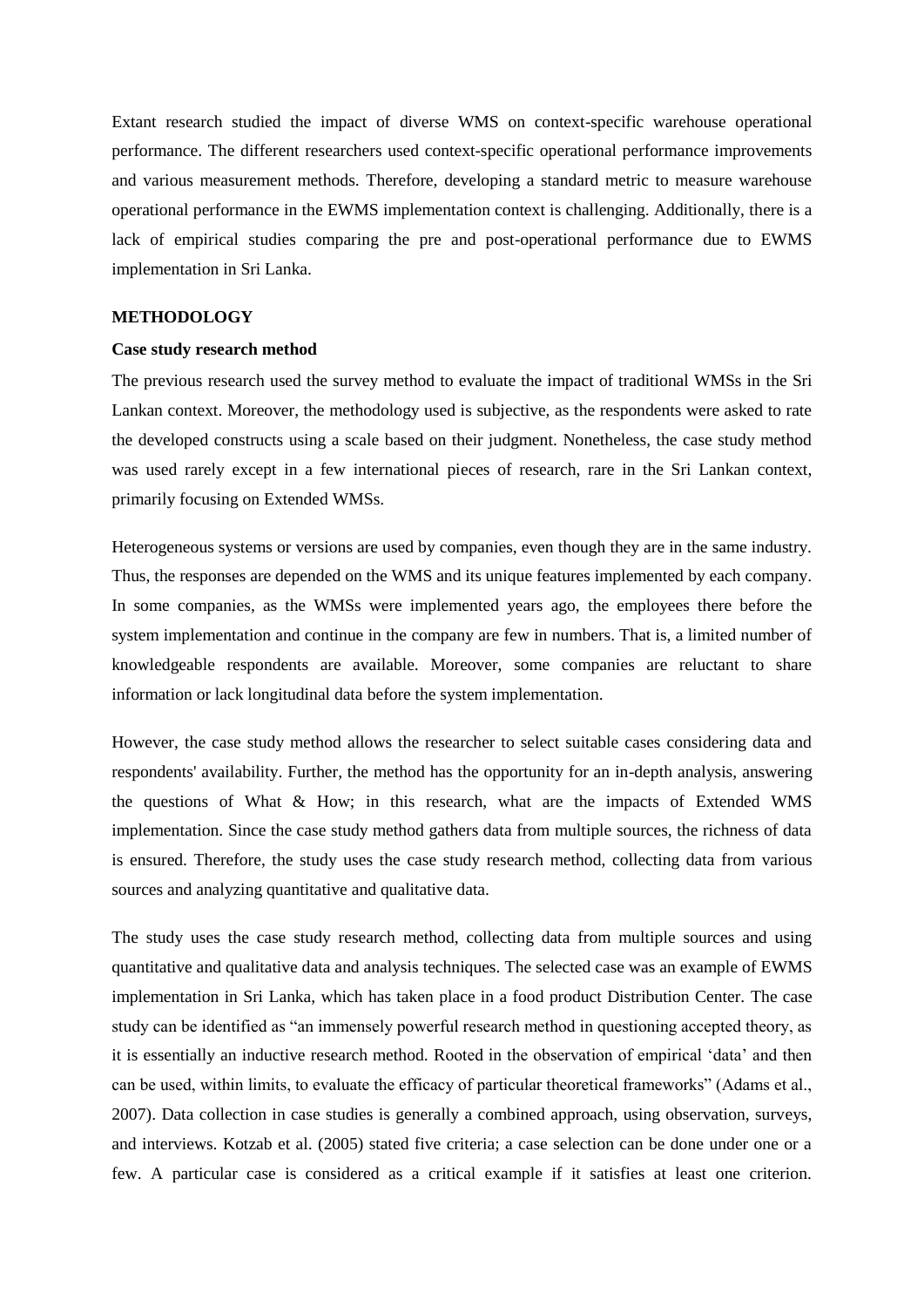Extant research studied the impact of diverse WMS on context-specific warehouse operational performance. The different researchers used context-specific operational performance improvements and various measurement methods. Therefore, developing a standard metric to measure warehouse operational performance in the EWMS implementation context is challenging. Additionally, there is a lack of empirical studies comparing the pre and post-operational performance due to EWMS implementation in Sri Lanka.

# **METHODOLOGY**

# **Case study research method**

The previous research used the survey method to evaluate the impact of traditional WMSs in the Sri Lankan context. Moreover, the methodology used is subjective, as the respondents were asked to rate the developed constructs using a scale based on their judgment. Nonetheless, the case study method was used rarely except in a few international pieces of research, rare in the Sri Lankan context, primarily focusing on Extended WMSs.

Heterogeneous systems or versions are used by companies, even though they are in the same industry. Thus, the responses are depended on the WMS and its unique features implemented by each company. In some companies, as the WMSs were implemented years ago, the employees there before the system implementation and continue in the company are few in numbers. That is, a limited number of knowledgeable respondents are available. Moreover, some companies are reluctant to share information or lack longitudinal data before the system implementation.

However, the case study method allows the researcher to select suitable cases considering data and respondents' availability. Further, the method has the opportunity for an in-depth analysis, answering the questions of What & How; in this research, what are the impacts of Extended WMS implementation. Since the case study method gathers data from multiple sources, the richness of data is ensured. Therefore, the study uses the case study research method, collecting data from various sources and analyzing quantitative and qualitative data.

The study uses the case study research method, collecting data from multiple sources and using quantitative and qualitative data and analysis techniques. The selected case was an example of EWMS implementation in Sri Lanka, which has taken place in a food product Distribution Center. The case study can be identified as "an immensely powerful research method in questioning accepted theory, as it is essentially an inductive research method. Rooted in the observation of empirical 'data' and then can be used, within limits, to evaluate the efficacy of particular theoretical frameworks" (Adams et al., 2007). Data collection in case studies is generally a combined approach, using observation, surveys, and interviews. Kotzab et al. (2005) stated five criteria; a case selection can be done under one or a few. A particular case is considered as a critical example if it satisfies at least one criterion.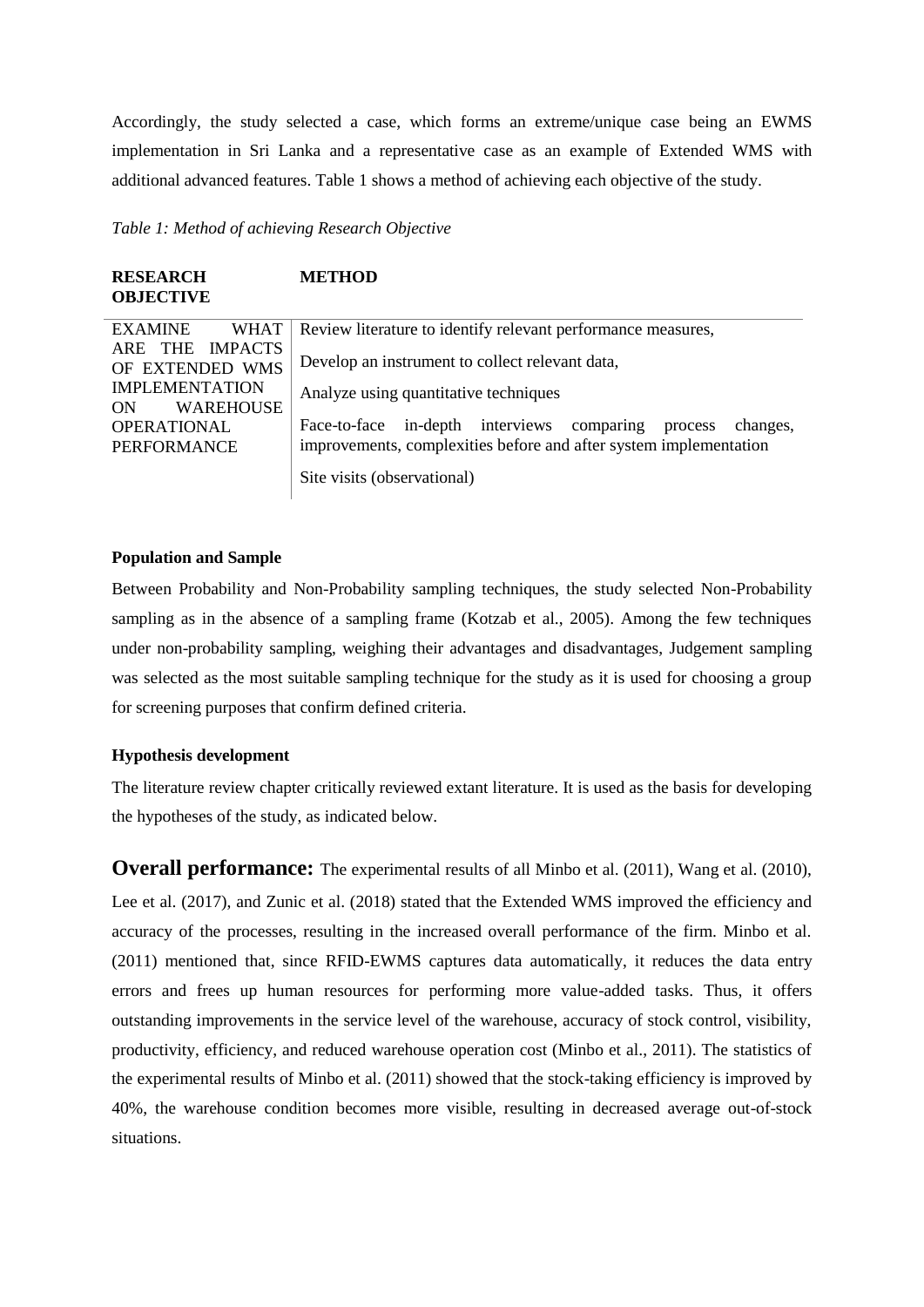Accordingly, the study selected a case, which forms an extreme/unique case being an EWMS implementation in Sri Lanka and a representative case as an example of Extended WMS with additional advanced features. Table 1 shows a method of achieving each objective of the study.

*Table 1: Method of achieving Research Objective*

| <b>RESEARCH</b><br><b>OBJECTIVE</b>                                                                                                                                      | <b>METHOD</b>                                                                                                                                                                                                                                                                                                                           |
|--------------------------------------------------------------------------------------------------------------------------------------------------------------------------|-----------------------------------------------------------------------------------------------------------------------------------------------------------------------------------------------------------------------------------------------------------------------------------------------------------------------------------------|
| <b>EXAMINE</b><br><b>WHAT</b><br><b>IMPACTS</b><br>THE<br>ARE<br>OF EXTENDED WMS<br><b>IMPLEMENTATION</b><br><b>WAREHOUSE</b><br>ON<br><b>OPERATIONAL</b><br>PERFORMANCE | Review literature to identify relevant performance measures,<br>Develop an instrument to collect relevant data,<br>Analyze using quantitative techniques<br>in-depth interviews<br>Face-to-face<br>changes,<br>comparing<br>process<br>improvements, complexities before and after system implementation<br>Site visits (observational) |

# **Population and Sample**

Between Probability and Non-Probability sampling techniques, the study selected Non-Probability sampling as in the absence of a sampling frame (Kotzab et al., 2005). Among the few techniques under non-probability sampling, weighing their advantages and disadvantages, Judgement sampling was selected as the most suitable sampling technique for the study as it is used for choosing a group for screening purposes that confirm defined criteria.

# **Hypothesis development**

The literature review chapter critically reviewed extant literature. It is used as the basis for developing the hypotheses of the study, as indicated below.

**Overall performance:** The experimental results of all Minbo et al. (2011), Wang et al. (2010), Lee et al. (2017), and Zunic et al. (2018) stated that the Extended WMS improved the efficiency and accuracy of the processes, resulting in the increased overall performance of the firm. Minbo et al. (2011) mentioned that, since RFID-EWMS captures data automatically, it reduces the data entry errors and frees up human resources for performing more value-added tasks. Thus, it offers outstanding improvements in the service level of the warehouse, accuracy of stock control, visibility, productivity, efficiency, and reduced warehouse operation cost (Minbo et al., 2011). The statistics of the experimental results of Minbo et al. (2011) showed that the stock-taking efficiency is improved by 40%, the warehouse condition becomes more visible, resulting in decreased average out-of-stock situations.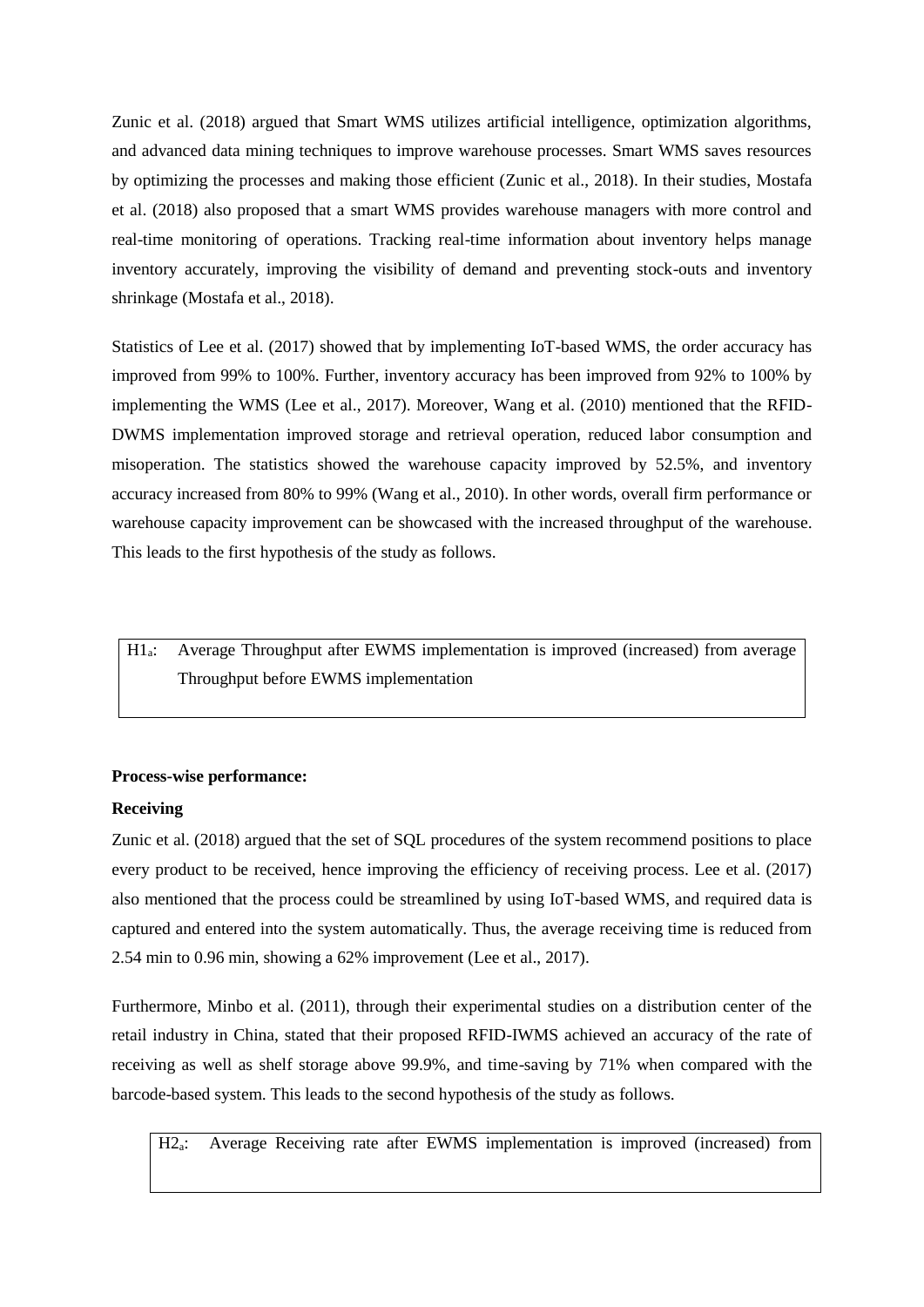Zunic et al. (2018) argued that Smart WMS utilizes artificial intelligence, optimization algorithms, and advanced data mining techniques to improve warehouse processes. Smart WMS saves resources by optimizing the processes and making those efficient (Zunic et al., 2018). In their studies, Mostafa et al. (2018) also proposed that a smart WMS provides warehouse managers with more control and real-time monitoring of operations. Tracking real-time information about inventory helps manage inventory accurately, improving the visibility of demand and preventing stock-outs and inventory shrinkage (Mostafa et al., 2018).

Statistics of Lee et al. (2017) showed that by implementing IoT-based WMS, the order accuracy has improved from 99% to 100%. Further, inventory accuracy has been improved from 92% to 100% by implementing the WMS (Lee et al., 2017). Moreover, Wang et al. (2010) mentioned that the RFID-DWMS implementation improved storage and retrieval operation, reduced labor consumption and misoperation. The statistics showed the warehouse capacity improved by 52.5%, and inventory accuracy increased from 80% to 99% (Wang et al., 2010). In other words, overall firm performance or warehouse capacity improvement can be showcased with the increased throughput of the warehouse. This leads to the first hypothesis of the study as follows.

H1a: Average Throughput after EWMS implementation is improved (increased) from average Throughput before EWMS implementation

# **Process-wise performance:**

# **Receiving**

Zunic et al. (2018) argued that the set of SQL procedures of the system recommend positions to place every product to be received, hence improving the efficiency of receiving process. Lee et al. (2017) also mentioned that the process could be streamlined by using IoT-based WMS, and required data is captured and entered into the system automatically. Thus, the average receiving time is reduced from 2.54 min to 0.96 min, showing a 62% improvement (Lee et al., 2017).

Furthermore, Minbo et al. (2011), through their experimental studies on a distribution center of the retail industry in China, stated that their proposed RFID-IWMS achieved an accuracy of the rate of receiving as well as shelf storage above 99.9%, and time-saving by 71% when compared with the barcode-based system. This leads to the second hypothesis of the study as follows.

H2a: Average Receiving rate after EWMS implementation is improved (increased) from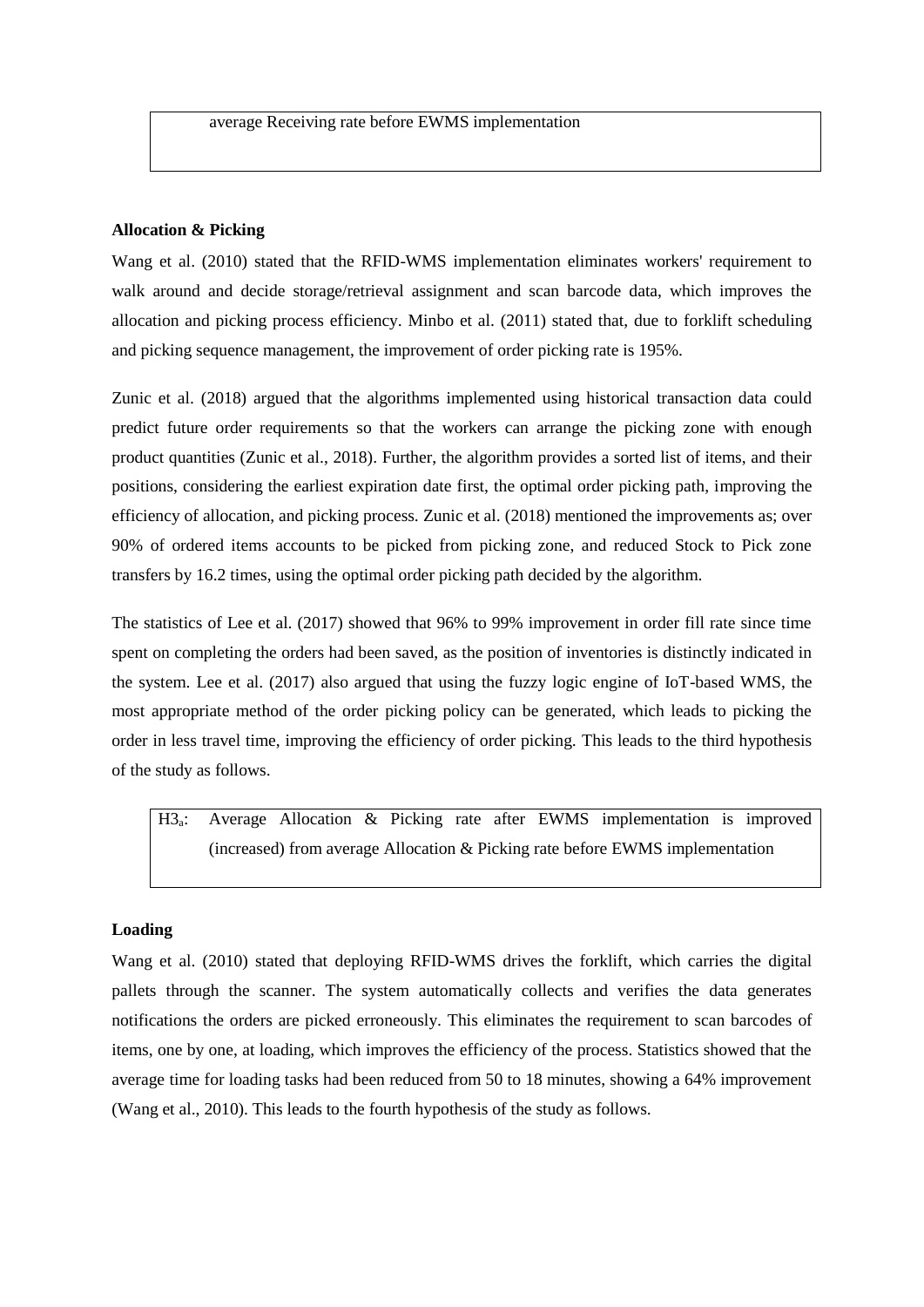# **Allocation & Picking**

Wang et al. (2010) stated that the RFID-WMS implementation eliminates workers' requirement to walk around and decide storage/retrieval assignment and scan barcode data, which improves the allocation and picking process efficiency. Minbo et al. (2011) stated that, due to forklift scheduling and picking sequence management, the improvement of order picking rate is 195%.

Zunic et al. (2018) argued that the algorithms implemented using historical transaction data could predict future order requirements so that the workers can arrange the picking zone with enough product quantities (Zunic et al., 2018). Further, the algorithm provides a sorted list of items, and their positions, considering the earliest expiration date first, the optimal order picking path, improving the efficiency of allocation, and picking process. Zunic et al. (2018) mentioned the improvements as; over 90% of ordered items accounts to be picked from picking zone, and reduced Stock to Pick zone transfers by 16.2 times, using the optimal order picking path decided by the algorithm.

The statistics of Lee et al. (2017) showed that 96% to 99% improvement in order fill rate since time spent on completing the orders had been saved, as the position of inventories is distinctly indicated in the system. Lee et al. (2017) also argued that using the fuzzy logic engine of IoT-based WMS, the most appropriate method of the order picking policy can be generated, which leads to picking the order in less travel time, improving the efficiency of order picking. This leads to the third hypothesis of the study as follows.

H3a: Average Allocation & Picking rate after EWMS implementation is improved (increased) from average Allocation & Picking rate before EWMS implementation

# **Loading**

Wang et al. (2010) stated that deploying RFID-WMS drives the forklift, which carries the digital pallets through the scanner. The system automatically collects and verifies the data generates notifications the orders are picked erroneously. This eliminates the requirement to scan barcodes of items, one by one, at loading, which improves the efficiency of the process. Statistics showed that the average time for loading tasks had been reduced from 50 to 18 minutes, showing a 64% improvement (Wang et al., 2010). This leads to the fourth hypothesis of the study as follows.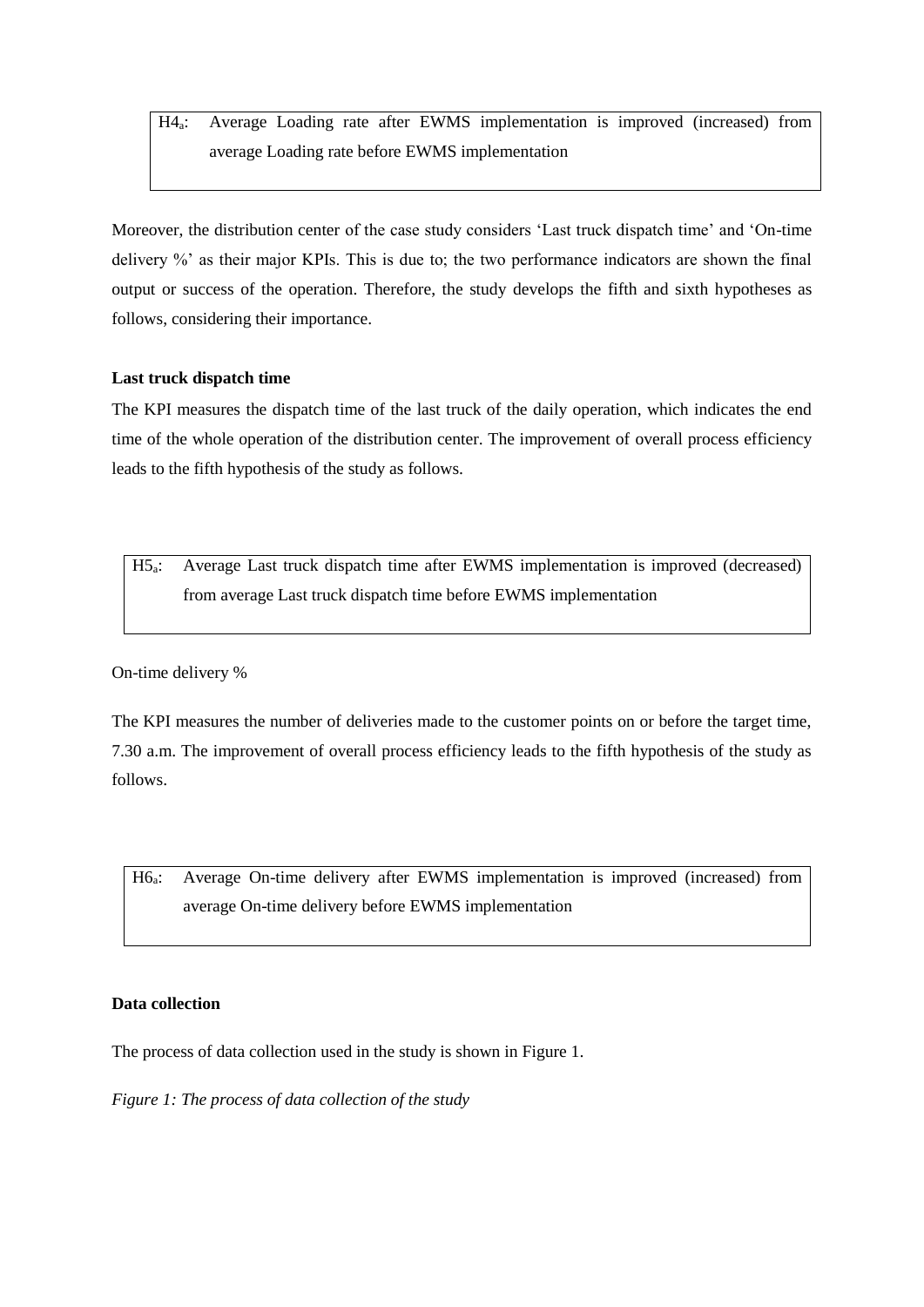H4a: Average Loading rate after EWMS implementation is improved (increased) from average Loading rate before EWMS implementation

Moreover, the distribution center of the case study considers 'Last truck dispatch time' and 'On-time delivery %' as their major KPIs. This is due to; the two performance indicators are shown the final output or success of the operation. Therefore, the study develops the fifth and sixth hypotheses as follows, considering their importance.

# **Last truck dispatch time**

The KPI measures the dispatch time of the last truck of the daily operation, which indicates the end time of the whole operation of the distribution center. The improvement of overall process efficiency leads to the fifth hypothesis of the study as follows.

H5a: Average Last truck dispatch time after EWMS implementation is improved (decreased) from average Last truck dispatch time before EWMS implementation

On-time delivery %

The KPI measures the number of deliveries made to the customer points on or before the target time, 7.30 a.m. The improvement of overall process efficiency leads to the fifth hypothesis of the study as follows.

H6a: Average On-time delivery after EWMS implementation is improved (increased) from average On-time delivery before EWMS implementation

# **Data collection**

The process of data collection used in the study is shown in Figure 1.

*Figure 1: The process of data collection of the study*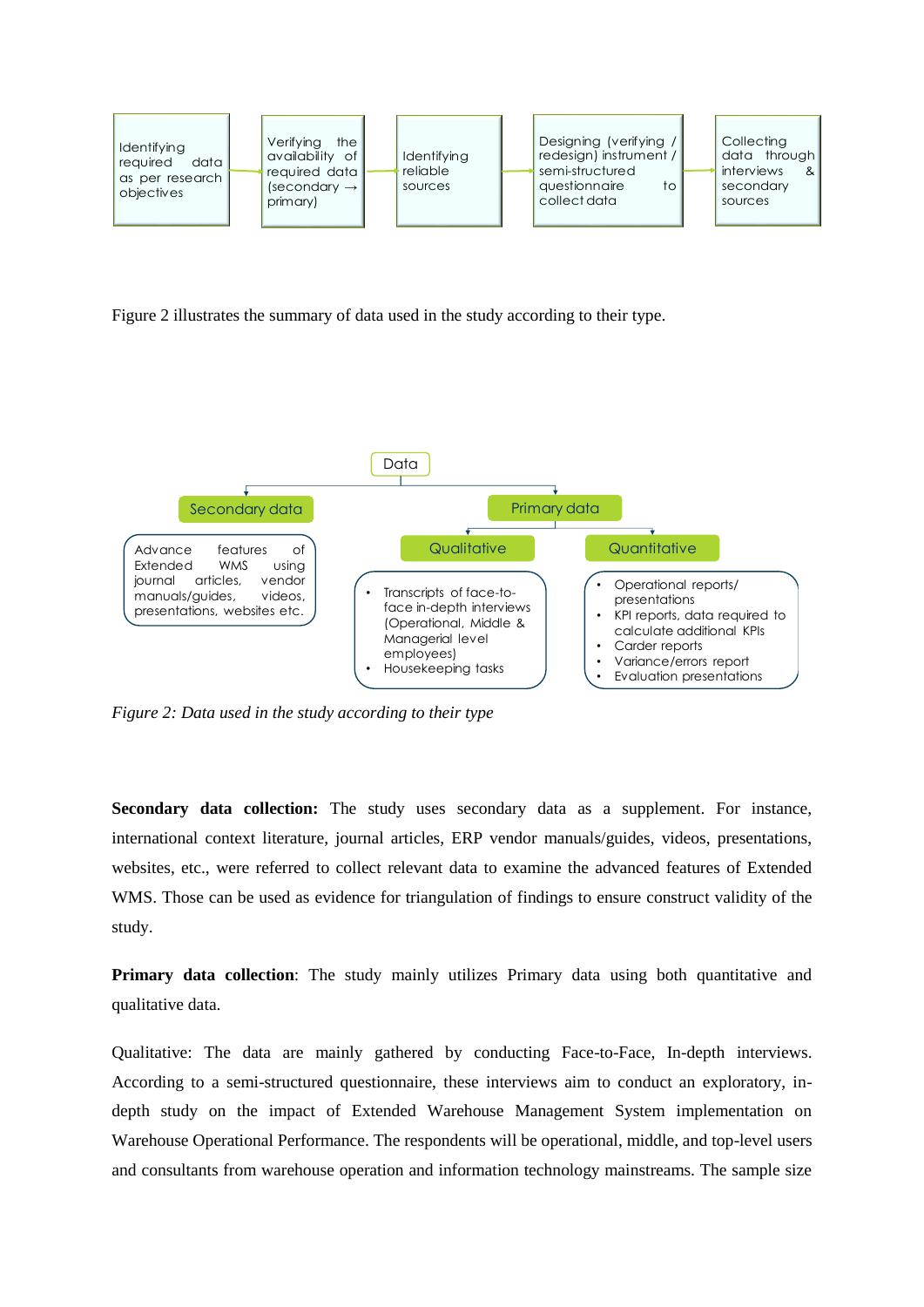

Figure 2 illustrates the summary of data used in the study according to their type.



*Figure 2: Data used in the study according to their type*

**Secondary data collection:** The study uses secondary data as a supplement. For instance, international context literature, journal articles, ERP vendor manuals/guides, videos, presentations, websites, etc., were referred to collect relevant data to examine the advanced features of Extended WMS. Those can be used as evidence for triangulation of findings to ensure construct validity of the study.

**Primary data collection**: The study mainly utilizes Primary data using both quantitative and qualitative data.

Qualitative: The data are mainly gathered by conducting Face-to-Face, In-depth interviews. According to a semi-structured questionnaire, these interviews aim to conduct an exploratory, indepth study on the impact of Extended Warehouse Management System implementation on Warehouse Operational Performance. The respondents will be operational, middle, and top-level users and consultants from warehouse operation and information technology mainstreams. The sample size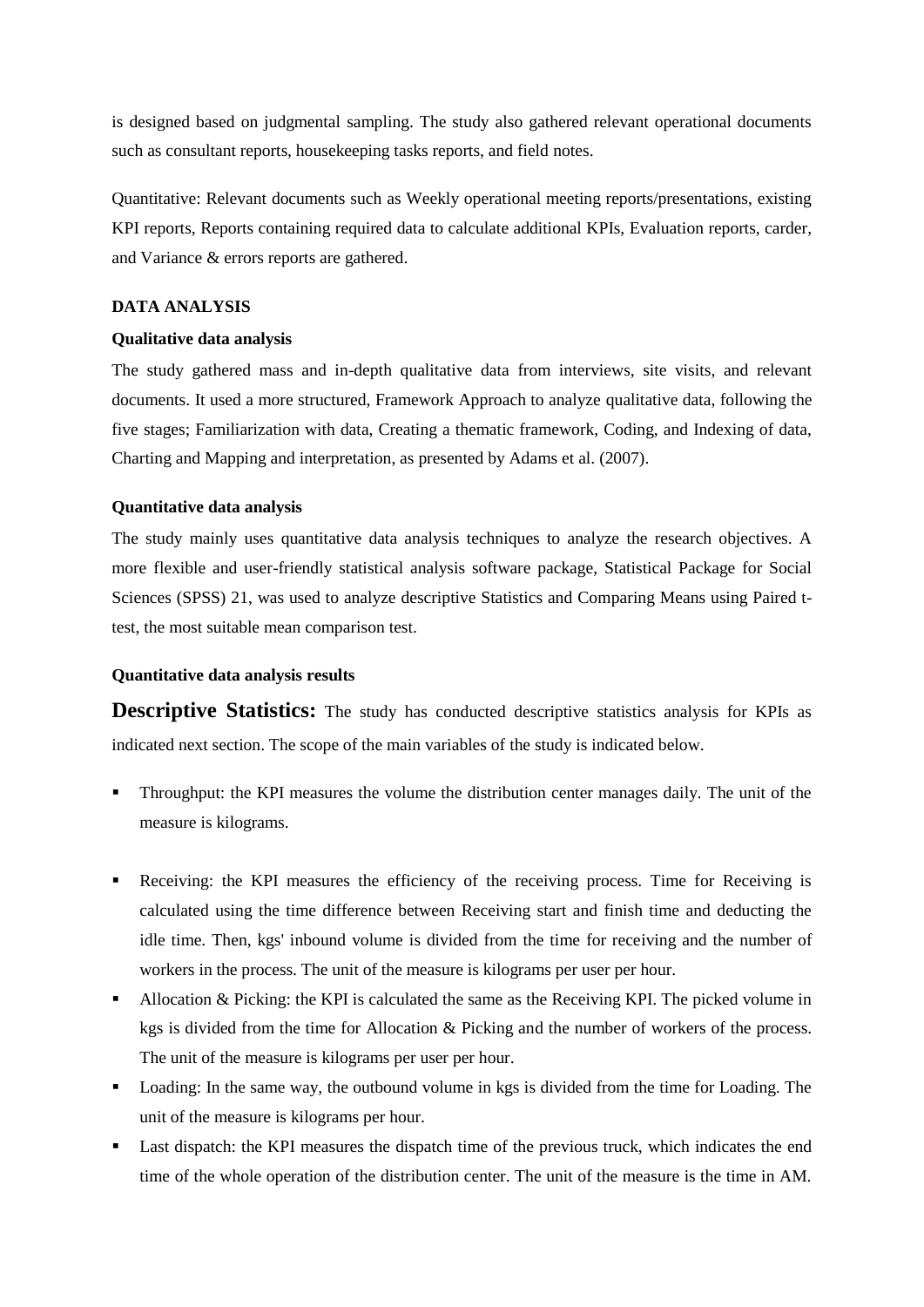is designed based on judgmental sampling. The study also gathered relevant operational documents such as consultant reports, housekeeping tasks reports, and field notes.

Quantitative: Relevant documents such as Weekly operational meeting reports/presentations, existing KPI reports, Reports containing required data to calculate additional KPIs, Evaluation reports, carder, and Variance & errors reports are gathered.

# **DATA ANALYSIS**

# **Qualitative data analysis**

The study gathered mass and in-depth qualitative data from interviews, site visits, and relevant documents. It used a more structured, Framework Approach to analyze qualitative data, following the five stages; Familiarization with data, Creating a thematic framework, Coding, and Indexing of data, Charting and Mapping and interpretation, as presented by Adams et al. (2007).

# **Quantitative data analysis**

The study mainly uses quantitative data analysis techniques to analyze the research objectives. A more flexible and user-friendly statistical analysis software package, Statistical Package for Social Sciences (SPSS) 21, was used to analyze descriptive Statistics and Comparing Means using Paired ttest, the most suitable mean comparison test.

# **Quantitative data analysis results**

**Descriptive Statistics:** The study has conducted descriptive statistics analysis for KPIs as indicated next section. The scope of the main variables of the study is indicated below.

- Throughput: the KPI measures the volume the distribution center manages daily. The unit of the measure is kilograms.
- Receiving: the KPI measures the efficiency of the receiving process. Time for Receiving is calculated using the time difference between Receiving start and finish time and deducting the idle time. Then, kgs' inbound volume is divided from the time for receiving and the number of workers in the process. The unit of the measure is kilograms per user per hour.
- Allocation & Picking: the KPI is calculated the same as the Receiving KPI. The picked volume in kgs is divided from the time for Allocation & Picking and the number of workers of the process. The unit of the measure is kilograms per user per hour.
- Loading: In the same way, the outbound volume in kgs is divided from the time for Loading. The unit of the measure is kilograms per hour.
- Last dispatch: the KPI measures the dispatch time of the previous truck, which indicates the end time of the whole operation of the distribution center. The unit of the measure is the time in AM.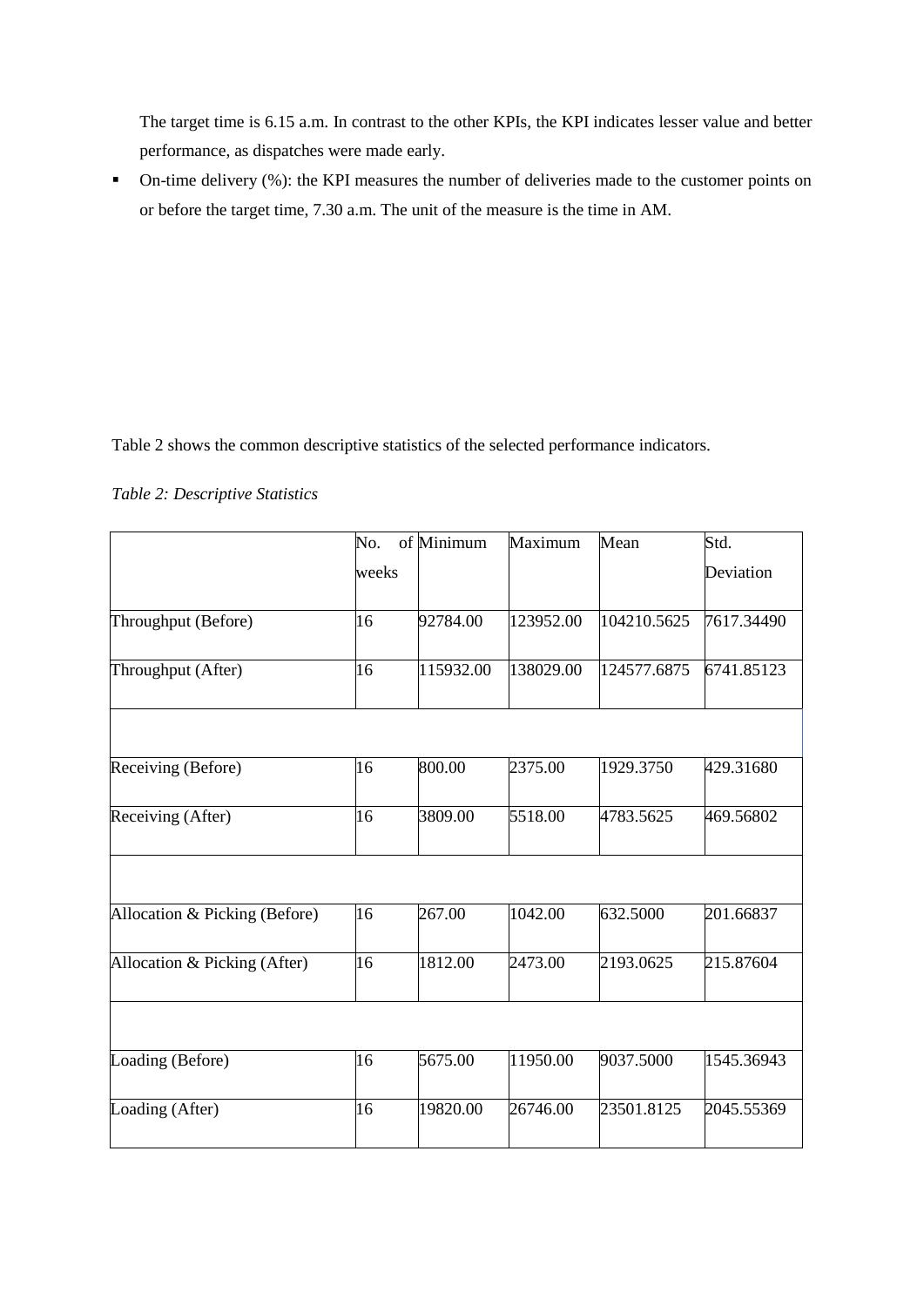The target time is 6.15 a.m. In contrast to the other KPIs, the KPI indicates lesser value and better performance, as dispatches were made early.

• On-time delivery (%): the KPI measures the number of deliveries made to the customer points on or before the target time, 7.30 a.m. The unit of the measure is the time in AM.

Table 2 shows the common descriptive statistics of the selected performance indicators.

*Table 2: Descriptive Statistics*

|                               | No.   | of Minimum | Maximum   | Mean        | Std.       |
|-------------------------------|-------|------------|-----------|-------------|------------|
|                               | weeks |            |           |             | Deviation  |
| Throughput (Before)           | 16    | 92784.00   | 123952.00 | 104210.5625 | 7617.34490 |
| Throughput (After)            | 16    | 115932.00  | 138029.00 | 124577.6875 | 6741.85123 |
|                               |       |            |           |             |            |
| Receiving (Before)            | 16    | 800.00     | 2375.00   | 1929.3750   | 429.31680  |
| Receiving (After)             | 16    | 3809.00    | 5518.00   | 4783.5625   | 469.56802  |
|                               |       |            |           |             |            |
| Allocation & Picking (Before) | 16    | 267.00     | 1042.00   | 632.5000    | 201.66837  |
| Allocation & Picking (After)  | 16    | 1812.00    | 2473.00   | 2193.0625   | 215.87604  |
|                               |       |            |           |             |            |
| Loading (Before)              | 16    | 5675.00    | 11950.00  | 9037.5000   | 1545.36943 |
| Loading (After)               | 16    | 19820.00   | 26746.00  | 23501.8125  | 2045.55369 |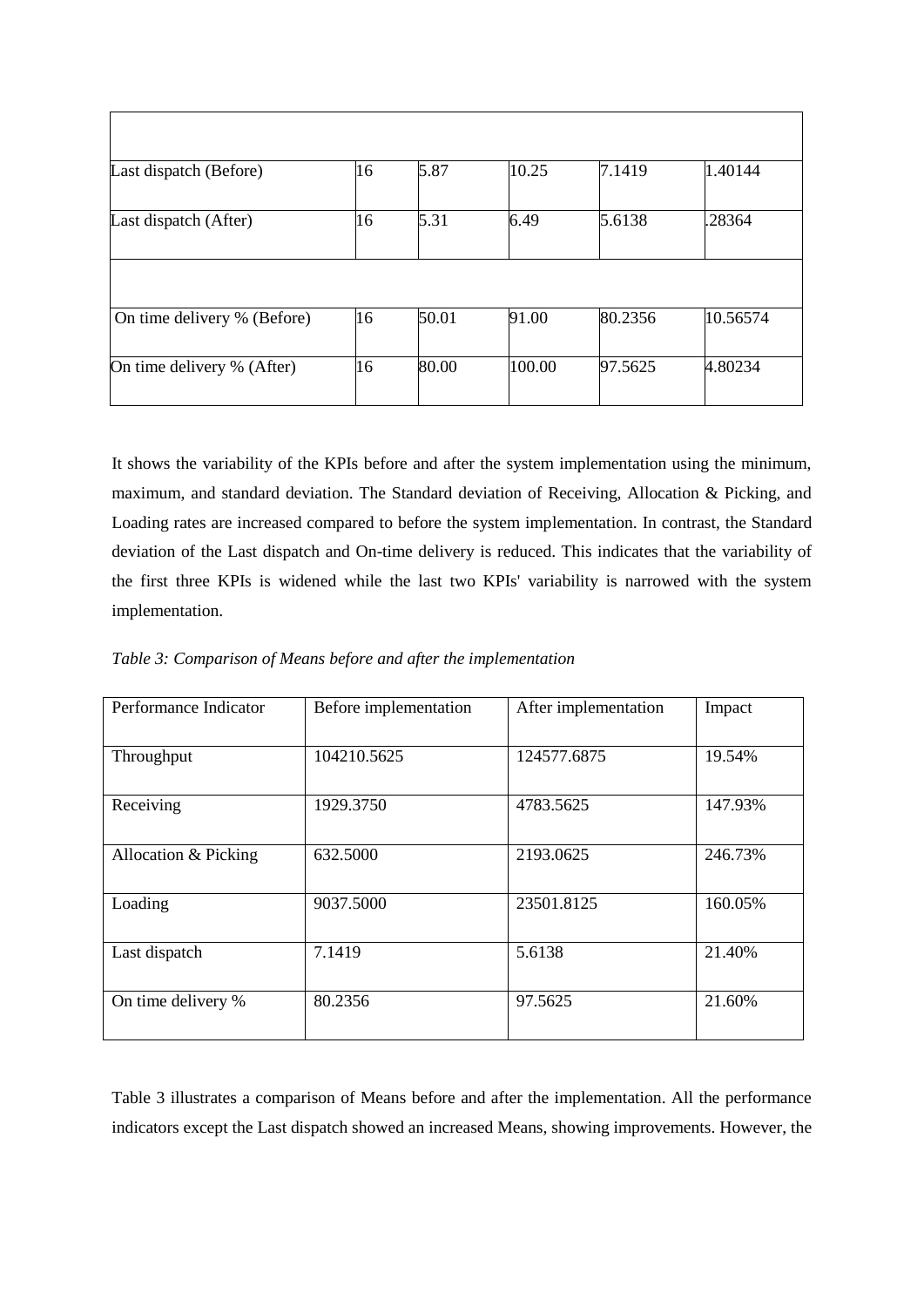| Last dispatch (Before)      | 16 | 5.87  | 10.25  | 7.1419  | 1.40144  |
|-----------------------------|----|-------|--------|---------|----------|
| Last dispatch (After)       | 16 | 5.31  | 6.49   | 5.6138  | .28364   |
|                             |    |       |        |         |          |
| On time delivery % (Before) | 16 | 50.01 | 91.00  | 80.2356 | 10.56574 |
| On time delivery % (After)  | 16 | 80.00 | 100.00 | 97.5625 | 4.80234  |

It shows the variability of the KPIs before and after the system implementation using the minimum, maximum, and standard deviation. The Standard deviation of Receiving, Allocation & Picking, and Loading rates are increased compared to before the system implementation. In contrast, the Standard deviation of the Last dispatch and On-time delivery is reduced. This indicates that the variability of the first three KPIs is widened while the last two KPIs' variability is narrowed with the system implementation.

*Table 3: Comparison of Means before and after the implementation*

| Performance Indicator | Before implementation | After implementation | Impact  |
|-----------------------|-----------------------|----------------------|---------|
|                       |                       |                      |         |
| Throughput            | 104210.5625           | 124577.6875          | 19.54%  |
|                       |                       |                      |         |
| Receiving             | 1929.3750             | 4783.5625            | 147.93% |
|                       |                       |                      |         |
| Allocation & Picking  | 632.5000              | 2193.0625            | 246.73% |
|                       |                       |                      |         |
| Loading               | 9037.5000             | 23501.8125           | 160.05% |
|                       |                       |                      |         |
| Last dispatch         | 7.1419                | 5.6138               | 21.40%  |
|                       |                       |                      |         |
| On time delivery %    | 80.2356               | 97.5625              | 21.60%  |
|                       |                       |                      |         |
|                       |                       |                      |         |

Table 3 illustrates a comparison of Means before and after the implementation. All the performance indicators except the Last dispatch showed an increased Means, showing improvements. However, the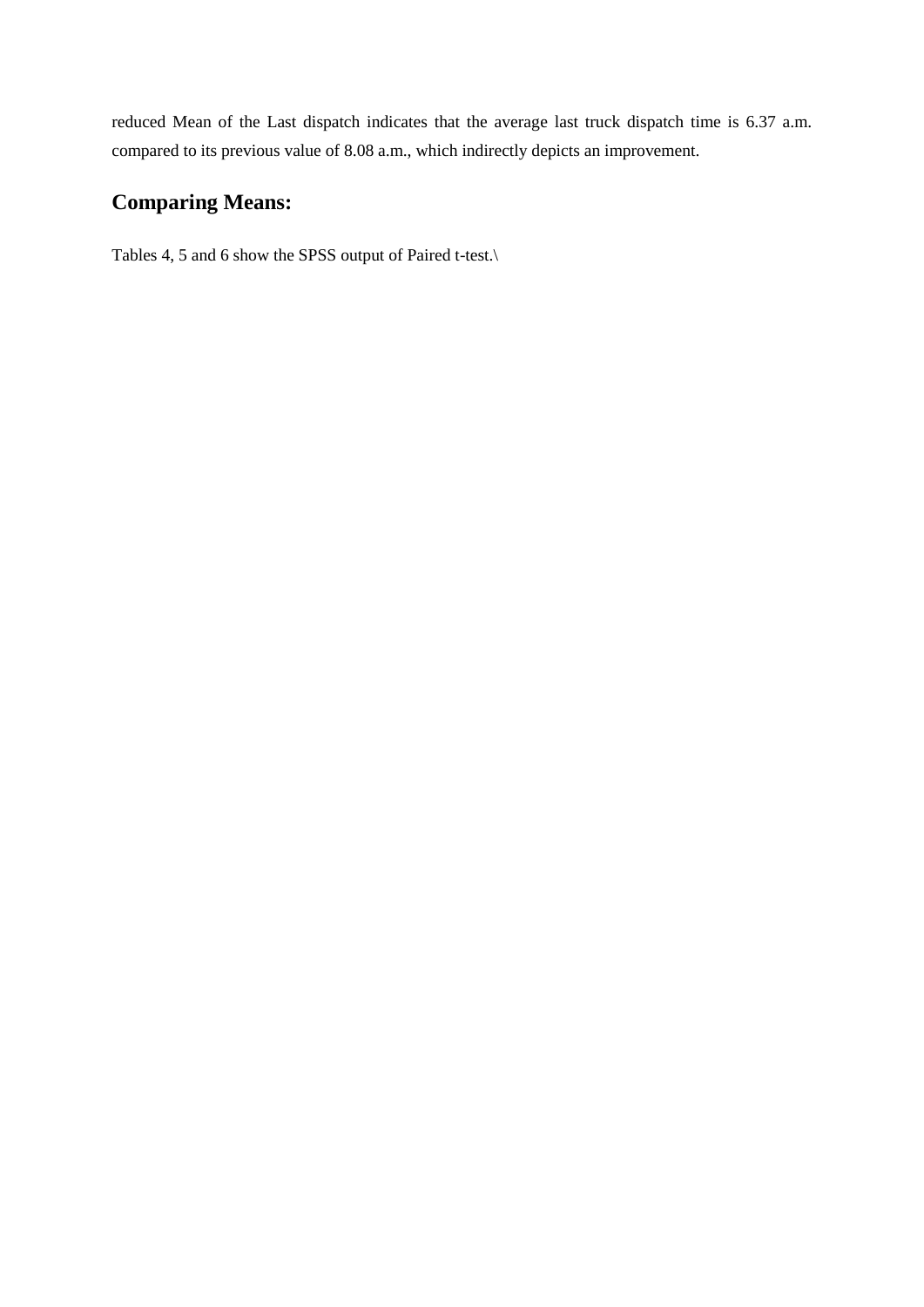reduced Mean of the Last dispatch indicates that the average last truck dispatch time is 6.37 a.m. compared to its previous value of 8.08 a.m., which indirectly depicts an improvement.

# **Comparing Means:**

Tables 4, 5 and 6 show the SPSS output of Paired t-test.\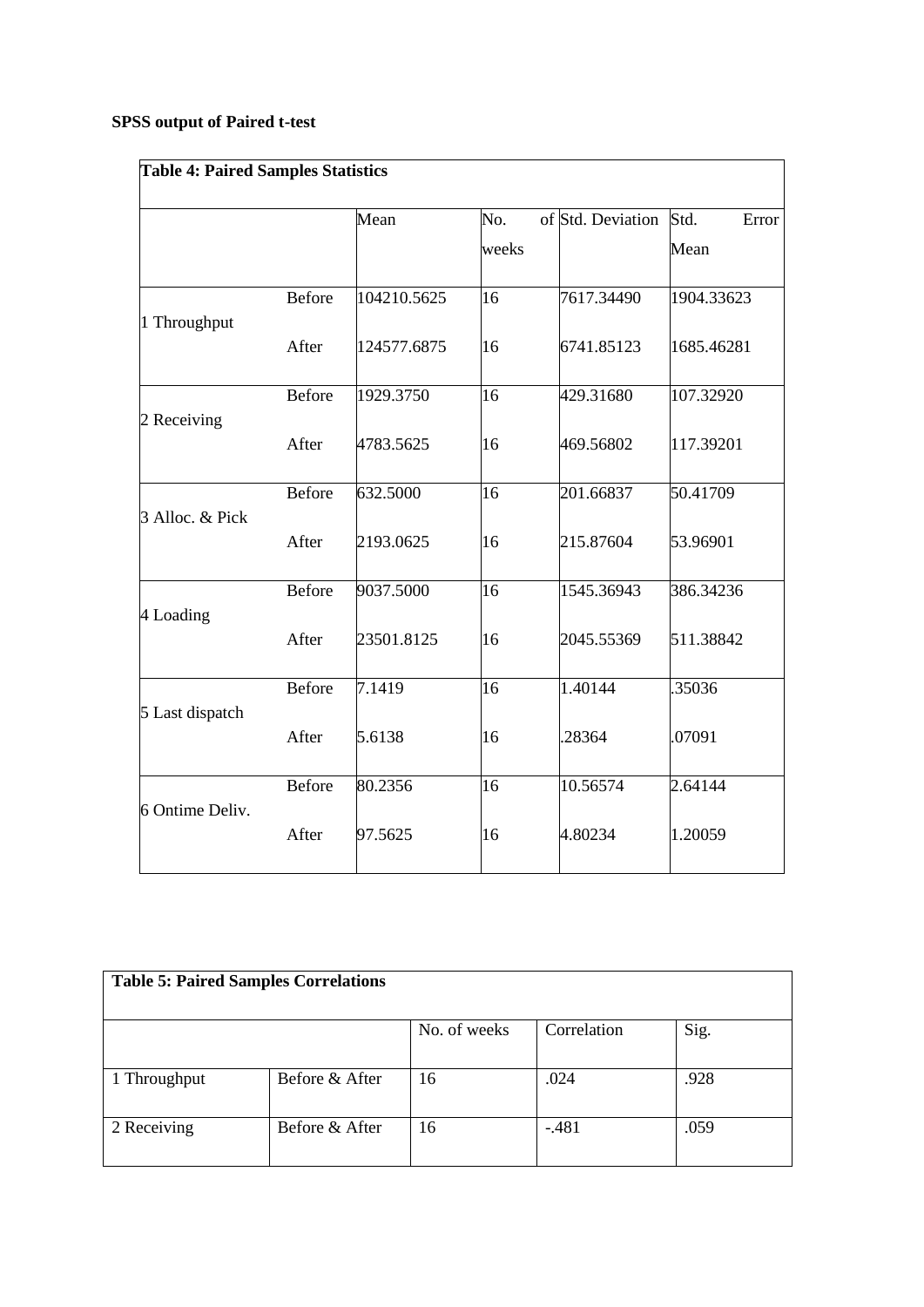# **SPSS output of Paired t-test**

| <b>Table 4: Paired Samples Statistics</b> |               |             |                 |                   |               |
|-------------------------------------------|---------------|-------------|-----------------|-------------------|---------------|
|                                           |               | Mean        | No.             | of Std. Deviation | Std.<br>Error |
|                                           |               |             | weeks           |                   | Mean          |
| 1 Throughput                              | <b>Before</b> | 104210.5625 | 16              | 7617.34490        | 1904.33623    |
|                                           | After         | 124577.6875 | 16              | 6741.85123        | 1685.46281    |
| 2 Receiving                               | <b>Before</b> | 1929.3750   | 16              | 429.31680         | 107.32920     |
|                                           | After         | 4783.5625   | 16              | 469.56802         | 117.39201     |
| 3 Alloc. & Pick                           | <b>Before</b> | 632.5000    | 16              | 201.66837         | 50.41709      |
|                                           | After         | 2193.0625   | 16              | 215.87604         | 53.96901      |
| 4 Loading                                 | Before        | 9037.5000   | 16              | 1545.36943        | 386.34236     |
|                                           | After         | 23501.8125  | 16              | 2045.55369        | 511.38842     |
| 5 Last dispatch                           | Before        | 7.1419      | 16              | 1.40144           | .35036        |
|                                           | After         | 5.6138      | 16              | 28364             | 07091         |
| 6 Ontime Deliv.                           | Before        | 80.2356     | $\overline{16}$ | 10.56574          | 2.64144       |
|                                           | After         | 97.5625     | 16              | 4.80234           | 1.20059       |

| <b>Table 5: Paired Samples Correlations</b> |                |              |             |      |  |
|---------------------------------------------|----------------|--------------|-------------|------|--|
|                                             |                | No. of weeks | Correlation | Sig. |  |
| 1 Throughput                                | Before & After | 16           | .024        | .928 |  |
| 2 Receiving                                 | Before & After | 16           | $-481$      | .059 |  |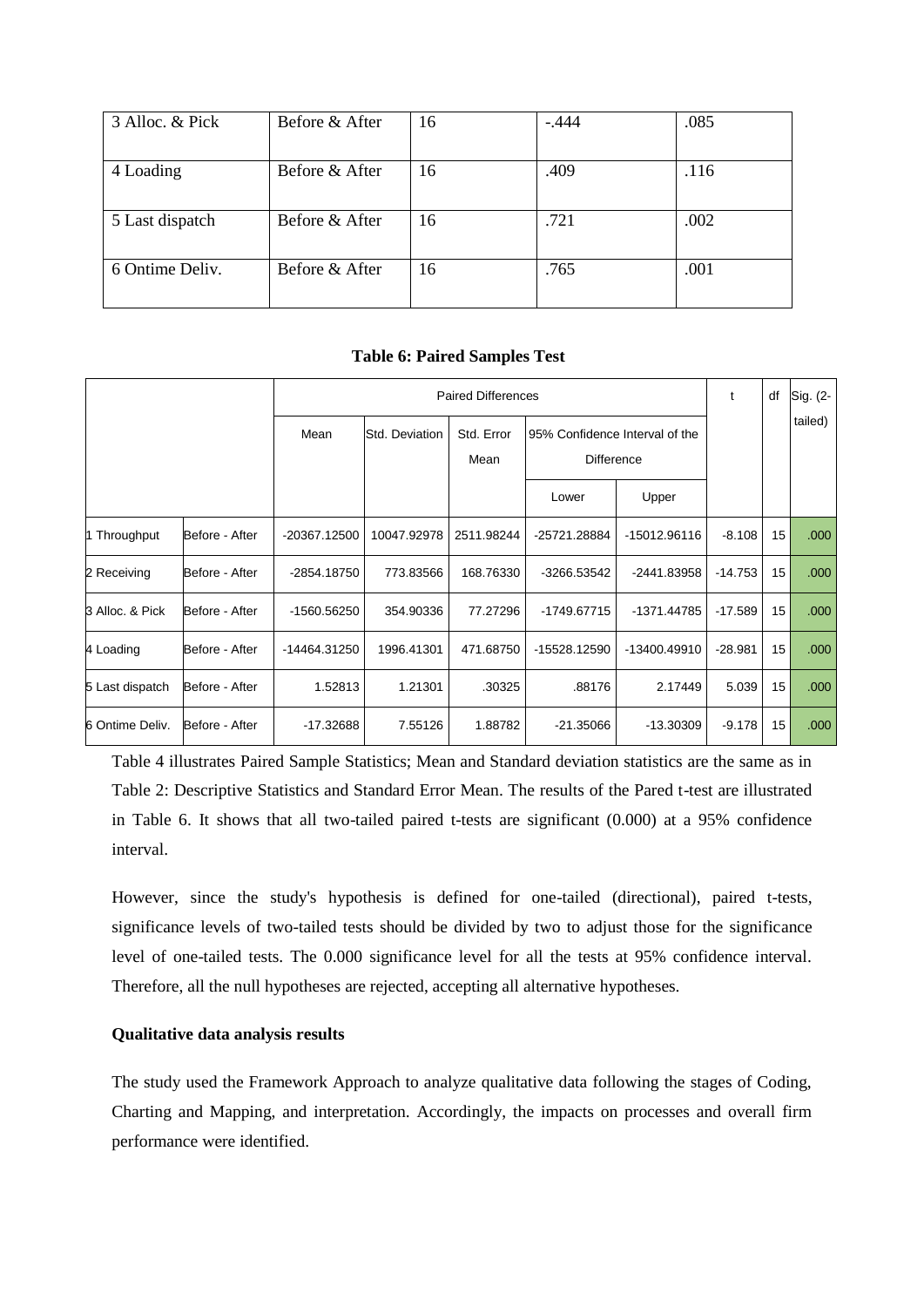| 3 Alloc. & Pick | Before & After | 16 | $-.444$ | .085 |
|-----------------|----------------|----|---------|------|
| 4 Loading       | Before & After | 16 | .409    | .116 |
| 5 Last dispatch | Before & After | 16 | .721    | .002 |
| 6 Ontime Deliv. | Before & After | 16 | .765    | .001 |

**Table 6: Paired Samples Test**

|                 |                |               |                | <b>Paired Differences</b> |                                                     |              | t         | df | Sig. (2- |
|-----------------|----------------|---------------|----------------|---------------------------|-----------------------------------------------------|--------------|-----------|----|----------|
|                 |                | Mean          | Std. Deviation | Std. Error<br>Mean        | 95% Confidence Interval of the<br><b>Difference</b> |              |           |    | tailed)  |
|                 |                |               |                |                           | Lower                                               | Upper        |           |    |          |
| 1 Throughput    | Before - After | -20367.12500  | 10047.92978    | 2511.98244                | -25721.28884                                        | -15012.96116 | $-8.108$  | 15 | .000     |
| 2 Receiving     | Before - After | -2854.18750   | 773.83566      | 168.76330                 | -3266.53542                                         | -2441.83958  | $-14.753$ | 15 | .000     |
| 3 Alloc, & Pick | Before - After | $-1560.56250$ | 354.90336      | 77.27296                  | -1749.67715                                         | -1371.44785  | $-17.589$ | 15 | .000     |
| 4 Loading       | Before - After | -14464.31250  | 1996.41301     | 471.68750                 | -15528.12590                                        | -13400.49910 | $-28.981$ | 15 | .000     |
| 5 Last dispatch | Before - After | 1.52813       | 1.21301        | .30325                    | .88176                                              | 2.17449      | 5.039     | 15 | .000     |
| 6 Ontime Deliv. | Before - After | -17.32688     | 7.55126        | 1.88782                   | $-21.35066$                                         | $-13.30309$  | $-9.178$  | 15 | .000     |

Table 4 illustrates Paired Sample Statistics; Mean and Standard deviation statistics are the same as in Table 2: Descriptive Statistics and Standard Error Mean. The results of the Pared t-test are illustrated in Table 6. It shows that all two-tailed paired t-tests are significant (0.000) at a 95% confidence interval.

However, since the study's hypothesis is defined for one-tailed (directional), paired t-tests, significance levels of two-tailed tests should be divided by two to adjust those for the significance level of one-tailed tests. The 0.000 significance level for all the tests at 95% confidence interval. Therefore, all the null hypotheses are rejected, accepting all alternative hypotheses.

# **Qualitative data analysis results**

The study used the Framework Approach to analyze qualitative data following the stages of Coding, Charting and Mapping, and interpretation. Accordingly, the impacts on processes and overall firm performance were identified.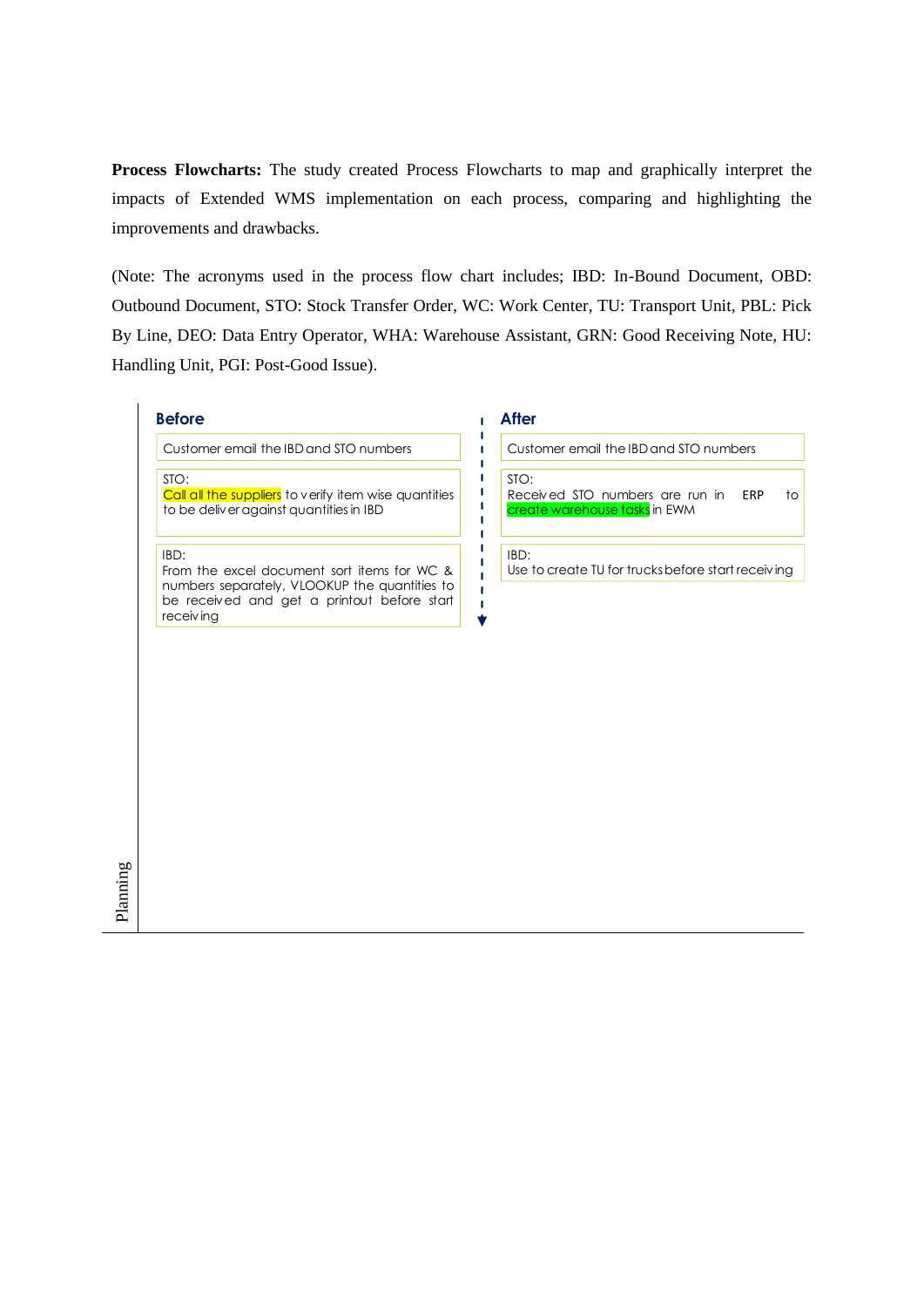**Process Flowcharts:** The study created Process Flowcharts to map and graphically interpret the impacts of Extended WMS implementation on each process, comparing and highlighting the improvements and drawbacks.

(Note: The acronyms used in the process flow chart includes; IBD: In-Bound Document, OBD: Outbound Document, STO: Stock Transfer Order, WC: Work Center, TU: Transport Unit, PBL: Pick By Line, DEO: Data Entry Operator, WHA: Warehouse Assistant, GRN: Good Receiving Note, HU: Handling Unit, PGI: Post-Good Issue).

# **Before After**

Customer email the IBD and STO numbers

STO: Call all the suppliers to verify item wise quantities to be deliver against quantities in IBD

IBD:

Planning

From the excel document sort items for WC & numbers separately, VLOOKUP the quantities to be received and get <sup>a</sup> printout before start receiving

 $\blacksquare$ п  $\blacksquare$  $\mathbf{I}$  $\mathbf{I}$  $\mathbf{I}$  $\blacksquare$  $\mathbf{I}$  $\blacksquare$  $\mathbf{I}$  Customer email the IBDand STO numbers

STO: Received STO numbers are run in ERP to create warehouse tasks in EWM

#### IBD:

Use to create TU for trucks before start receiving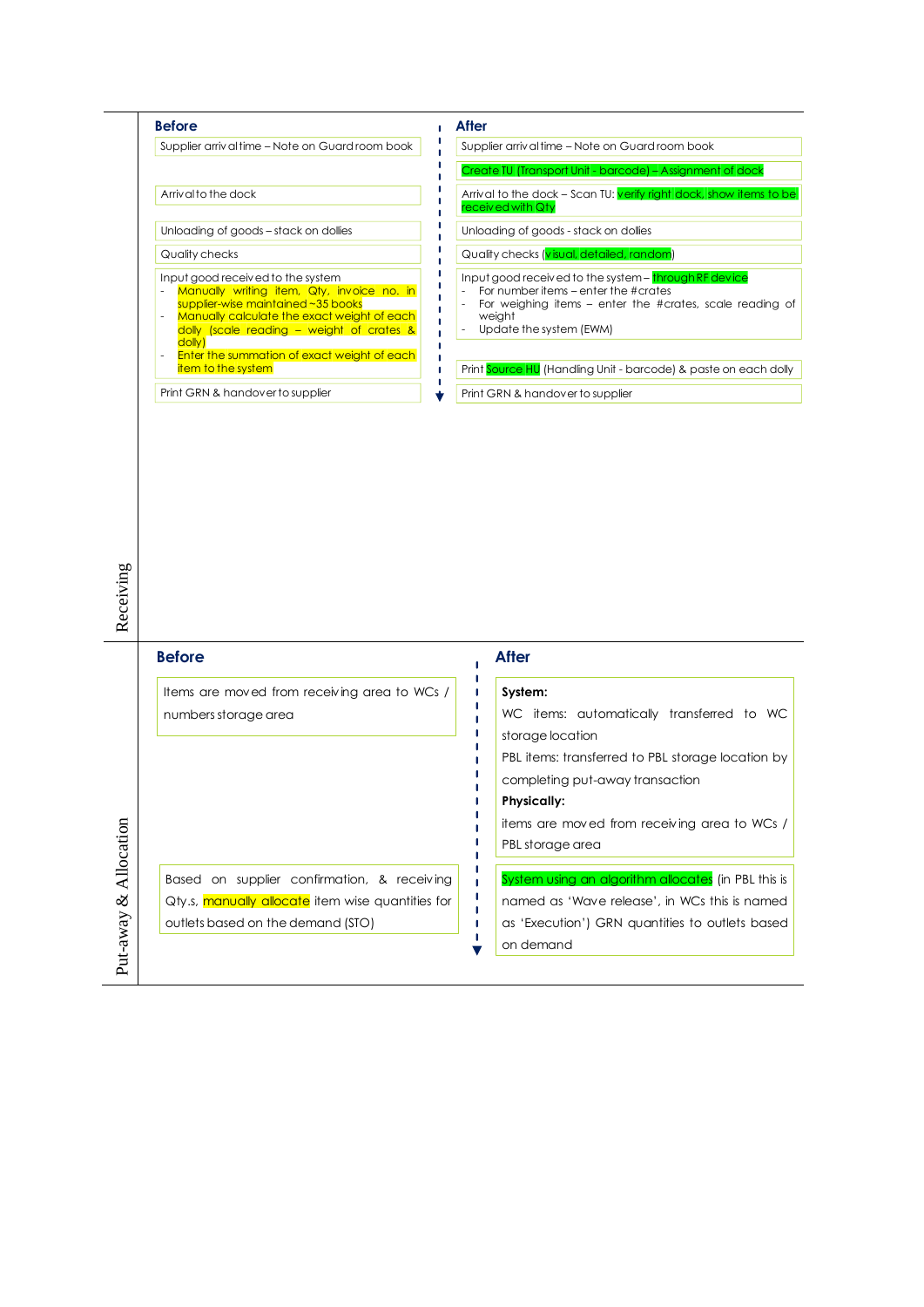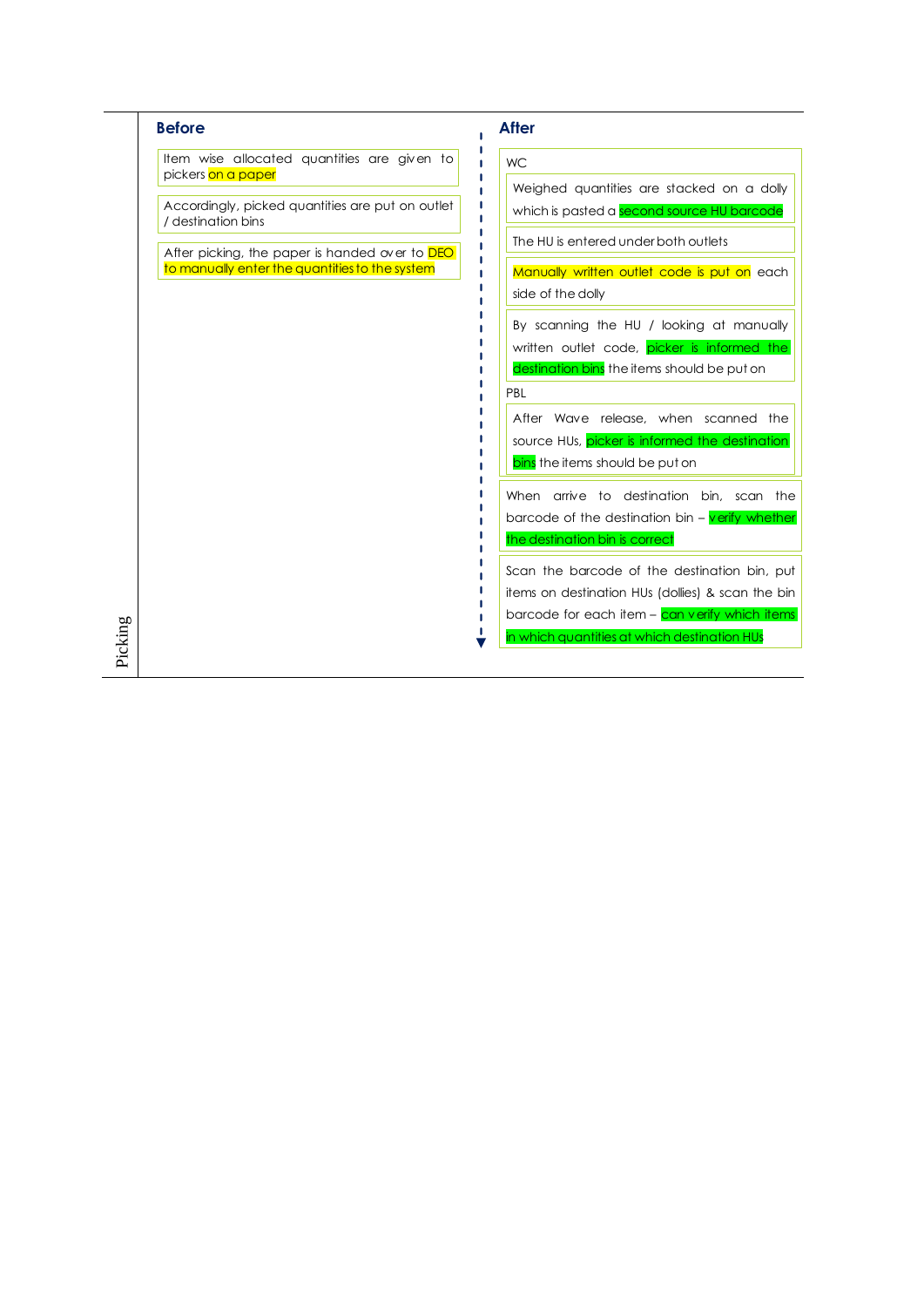| <b>WC</b><br>Weighed quantities are stacked on a dolly<br>which is pasted a second source HU barcode<br>The HU is entered under both outlets |
|----------------------------------------------------------------------------------------------------------------------------------------------|
|                                                                                                                                              |
|                                                                                                                                              |
|                                                                                                                                              |
|                                                                                                                                              |
| Manually written outlet code is put on each<br>side of the dolly                                                                             |
|                                                                                                                                              |
| By scanning the HU / looking at manually                                                                                                     |
| written outlet code, picker is informed the<br>destination bins the items should be put on                                                   |
| PBL                                                                                                                                          |
| After Wave release, when scanned the                                                                                                         |
| source HUs, picker is informed the destination                                                                                               |
| bins the items should be put on                                                                                                              |
| When arrive to destination bin, scan the                                                                                                     |
| barcode of the destination bin $-\sqrt{$ erify whether                                                                                       |
| the destination bin is correct                                                                                                               |
| Scan the barcode of the destination bin, put                                                                                                 |
| items on destination HUs (dollies) & scan the bin                                                                                            |
| barcode for each item – can verify which items                                                                                               |
|                                                                                                                                              |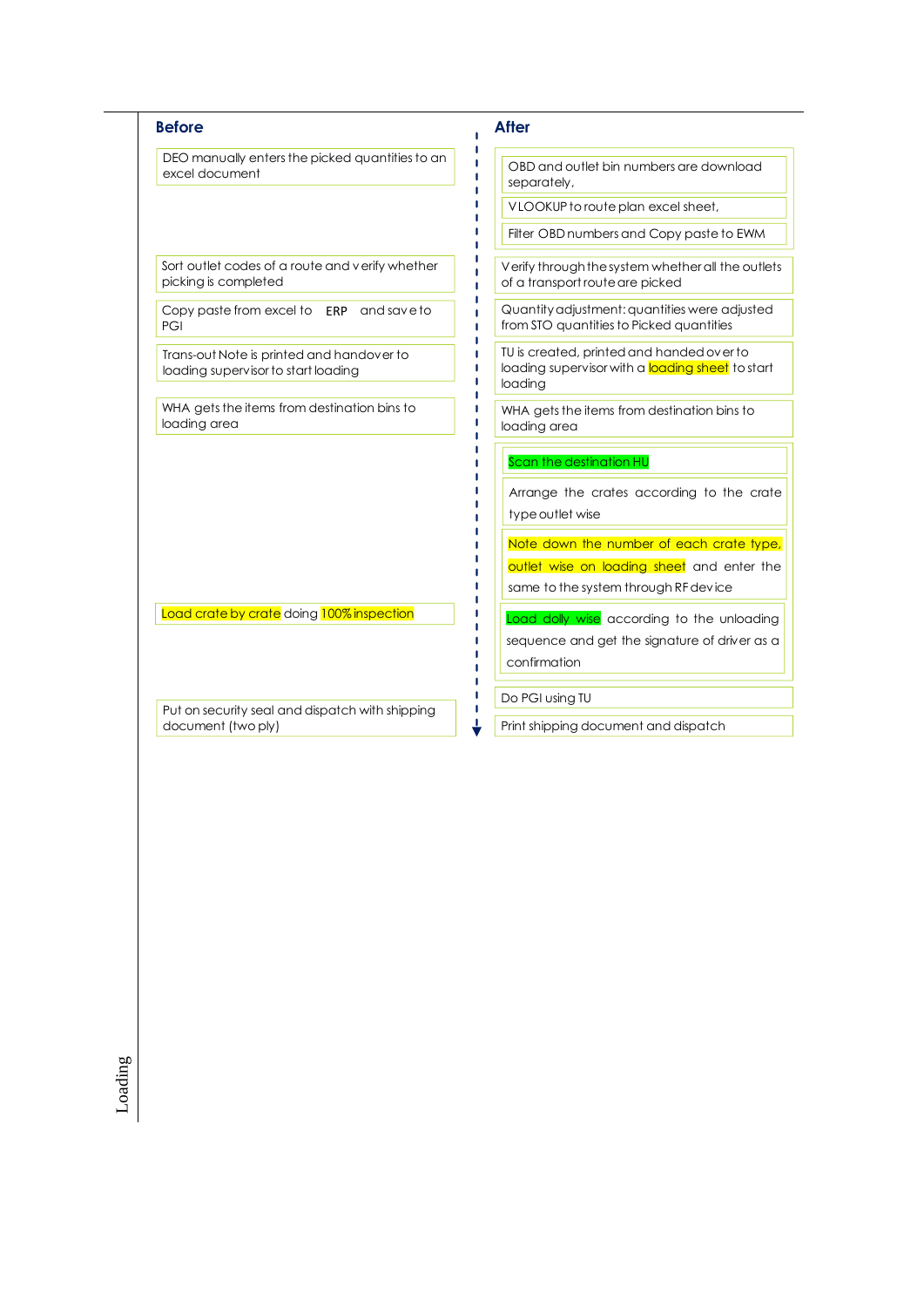| <b>Before</b>                                                                    | <b>After</b>                                                                                             |
|----------------------------------------------------------------------------------|----------------------------------------------------------------------------------------------------------|
| DEO manually enters the picked quantities to an<br>excel document                | OBD and outlet bin numbers are download<br>separately,                                                   |
|                                                                                  | VLOOKUP to route plan excel sheet,                                                                       |
|                                                                                  | Filter OBD numbers and Copy paste to EWM                                                                 |
| Sort outlet codes of a route and verify whether<br>picking is completed          | Verify through the system whether all the outlets<br>of a transport route are picked                     |
| Copy paste from excel to ERP and save to<br>PGI                                  | Quantity adjustment: quantities were adjusted<br>from STO quantities to Picked quantities                |
| Trans-out Note is printed and handover to<br>loading supervisor to start loading | TU is created, printed and handed over to<br>loading supervisor with a loading sheet to start<br>loading |
| WHA gets the items from destination bins to<br>loading area                      | WHA gets the items from destination bins to<br>loading area                                              |
|                                                                                  | Scan the destination HU                                                                                  |
|                                                                                  | Arrange the crates according to the crate                                                                |
|                                                                                  | type outlet wise                                                                                         |
|                                                                                  | Note down the number of each crate type,                                                                 |
|                                                                                  | outlet wise on loading sheet and enter the                                                               |
|                                                                                  | same to the system through RF device                                                                     |
| Load crate by crate doing 100% inspection                                        | Load dolly wise according to the unloading                                                               |
|                                                                                  | sequence and get the signature of driver as a                                                            |
|                                                                                  | confirmation                                                                                             |
|                                                                                  |                                                                                                          |
| Put on security seal and dispatch with shipping                                  | Do PGI using TU                                                                                          |

Loading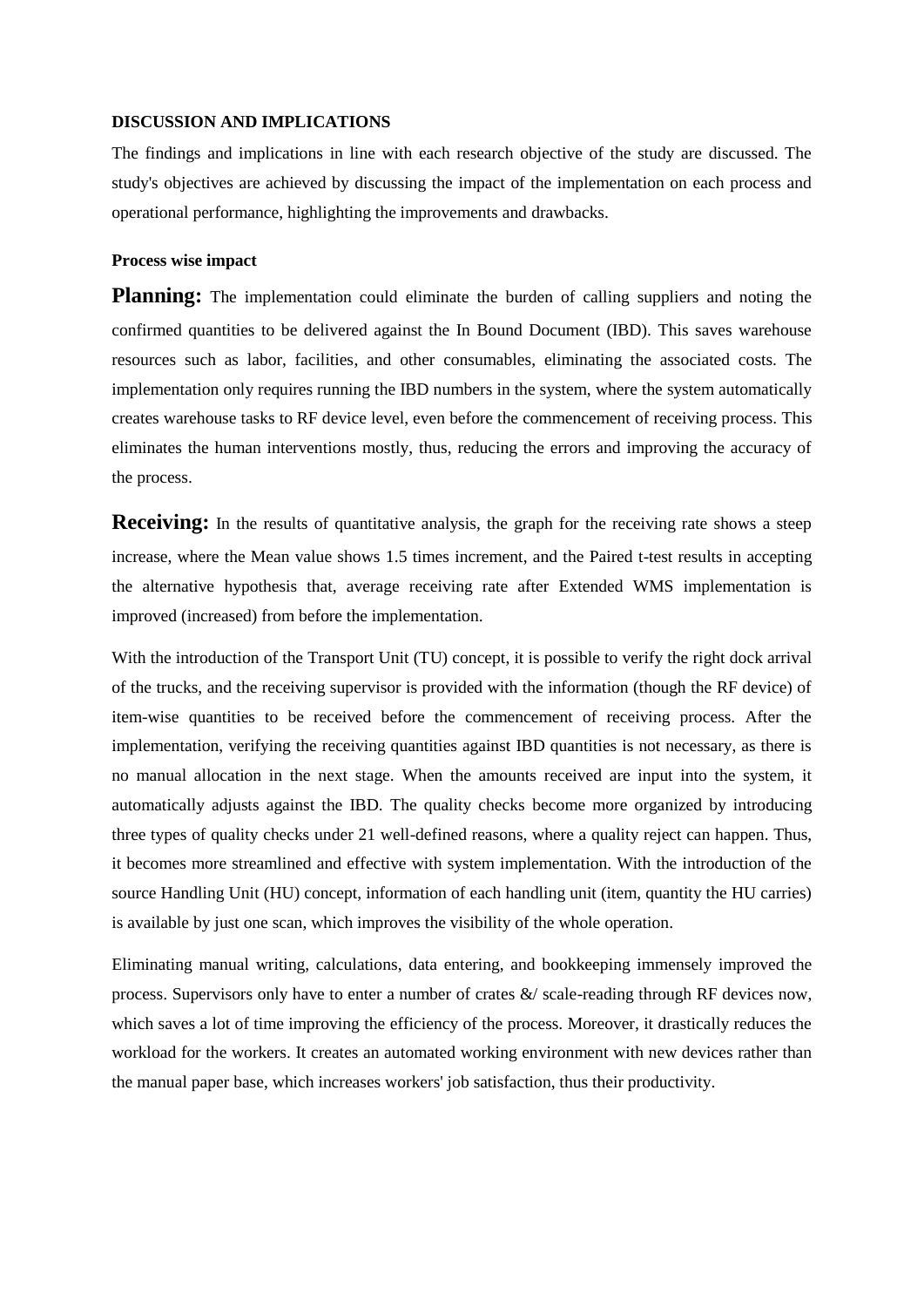# **DISCUSSION AND IMPLICATIONS**

The findings and implications in line with each research objective of the study are discussed. The study's objectives are achieved by discussing the impact of the implementation on each process and operational performance, highlighting the improvements and drawbacks.

# **Process wise impact**

**Planning:** The implementation could eliminate the burden of calling suppliers and noting the confirmed quantities to be delivered against the In Bound Document (IBD). This saves warehouse resources such as labor, facilities, and other consumables, eliminating the associated costs. The implementation only requires running the IBD numbers in the system, where the system automatically creates warehouse tasks to RF device level, even before the commencement of receiving process. This eliminates the human interventions mostly, thus, reducing the errors and improving the accuracy of the process.

**Receiving:** In the results of quantitative analysis, the graph for the receiving rate shows a steep increase, where the Mean value shows 1.5 times increment, and the Paired t-test results in accepting the alternative hypothesis that, average receiving rate after Extended WMS implementation is improved (increased) from before the implementation.

With the introduction of the Transport Unit (TU) concept, it is possible to verify the right dock arrival of the trucks, and the receiving supervisor is provided with the information (though the RF device) of item-wise quantities to be received before the commencement of receiving process. After the implementation, verifying the receiving quantities against IBD quantities is not necessary, as there is no manual allocation in the next stage. When the amounts received are input into the system, it automatically adjusts against the IBD. The quality checks become more organized by introducing three types of quality checks under 21 well-defined reasons, where a quality reject can happen. Thus, it becomes more streamlined and effective with system implementation. With the introduction of the source Handling Unit (HU) concept, information of each handling unit (item, quantity the HU carries) is available by just one scan, which improves the visibility of the whole operation.

Eliminating manual writing, calculations, data entering, and bookkeeping immensely improved the process. Supervisors only have to enter a number of crates &/ scale-reading through RF devices now, which saves a lot of time improving the efficiency of the process. Moreover, it drastically reduces the workload for the workers. It creates an automated working environment with new devices rather than the manual paper base, which increases workers' job satisfaction, thus their productivity.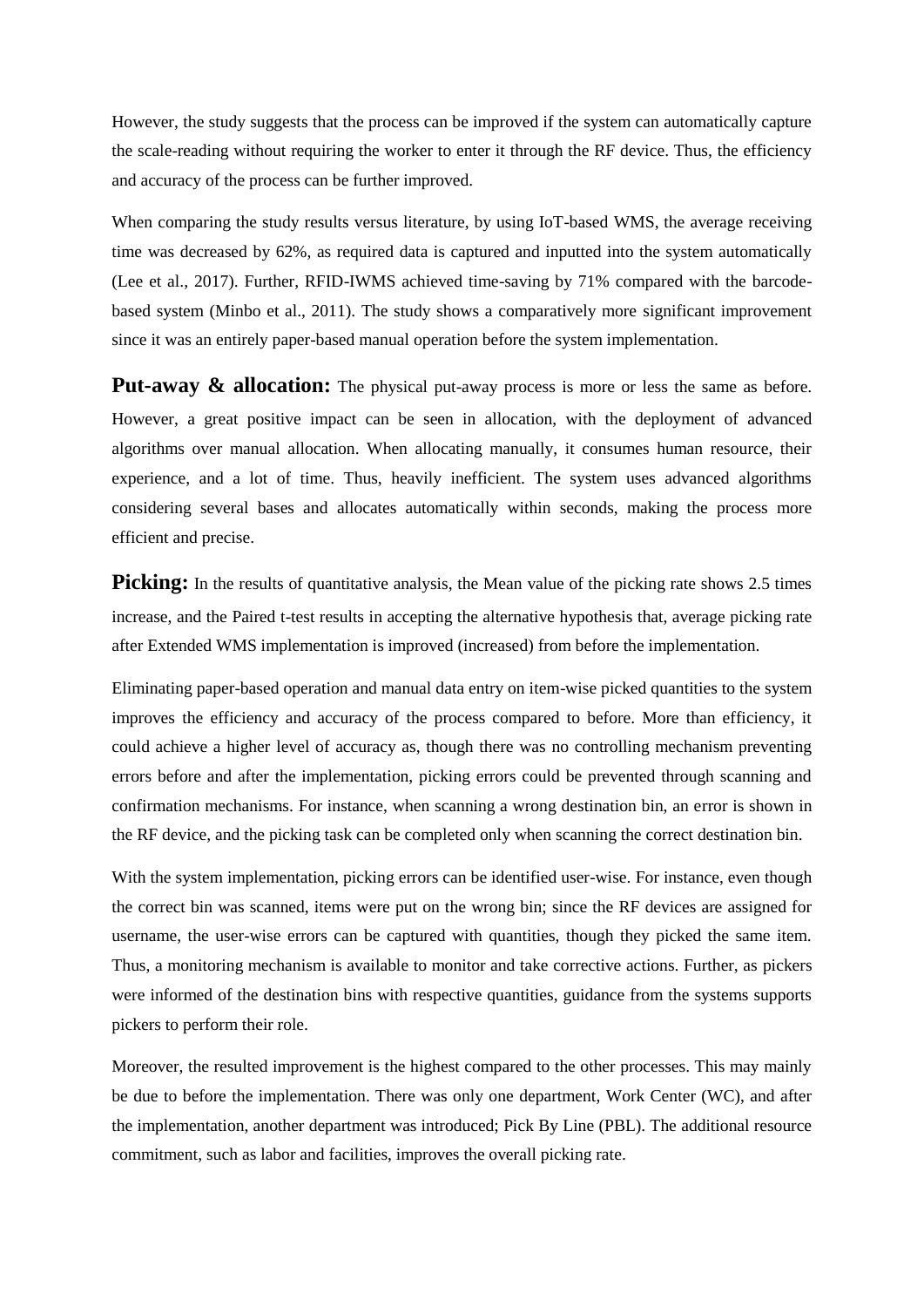However, the study suggests that the process can be improved if the system can automatically capture the scale-reading without requiring the worker to enter it through the RF device. Thus, the efficiency and accuracy of the process can be further improved.

When comparing the study results versus literature, by using IoT-based WMS, the average receiving time was decreased by 62%, as required data is captured and inputted into the system automatically (Lee et al., 2017). Further, RFID-IWMS achieved time-saving by 71% compared with the barcodebased system (Minbo et al., 2011). The study shows a comparatively more significant improvement since it was an entirely paper-based manual operation before the system implementation.

**Put-away & allocation:** The physical put-away process is more or less the same as before. However, a great positive impact can be seen in allocation, with the deployment of advanced algorithms over manual allocation. When allocating manually, it consumes human resource, their experience, and a lot of time. Thus, heavily inefficient. The system uses advanced algorithms considering several bases and allocates automatically within seconds, making the process more efficient and precise.

**Picking:** In the results of quantitative analysis, the Mean value of the picking rate shows 2.5 times increase, and the Paired t-test results in accepting the alternative hypothesis that, average picking rate after Extended WMS implementation is improved (increased) from before the implementation.

Eliminating paper-based operation and manual data entry on item-wise picked quantities to the system improves the efficiency and accuracy of the process compared to before. More than efficiency, it could achieve a higher level of accuracy as, though there was no controlling mechanism preventing errors before and after the implementation, picking errors could be prevented through scanning and confirmation mechanisms. For instance, when scanning a wrong destination bin, an error is shown in the RF device, and the picking task can be completed only when scanning the correct destination bin.

With the system implementation, picking errors can be identified user-wise. For instance, even though the correct bin was scanned, items were put on the wrong bin; since the RF devices are assigned for username, the user-wise errors can be captured with quantities, though they picked the same item. Thus, a monitoring mechanism is available to monitor and take corrective actions. Further, as pickers were informed of the destination bins with respective quantities, guidance from the systems supports pickers to perform their role.

Moreover, the resulted improvement is the highest compared to the other processes. This may mainly be due to before the implementation. There was only one department, Work Center (WC), and after the implementation, another department was introduced; Pick By Line (PBL). The additional resource commitment, such as labor and facilities, improves the overall picking rate.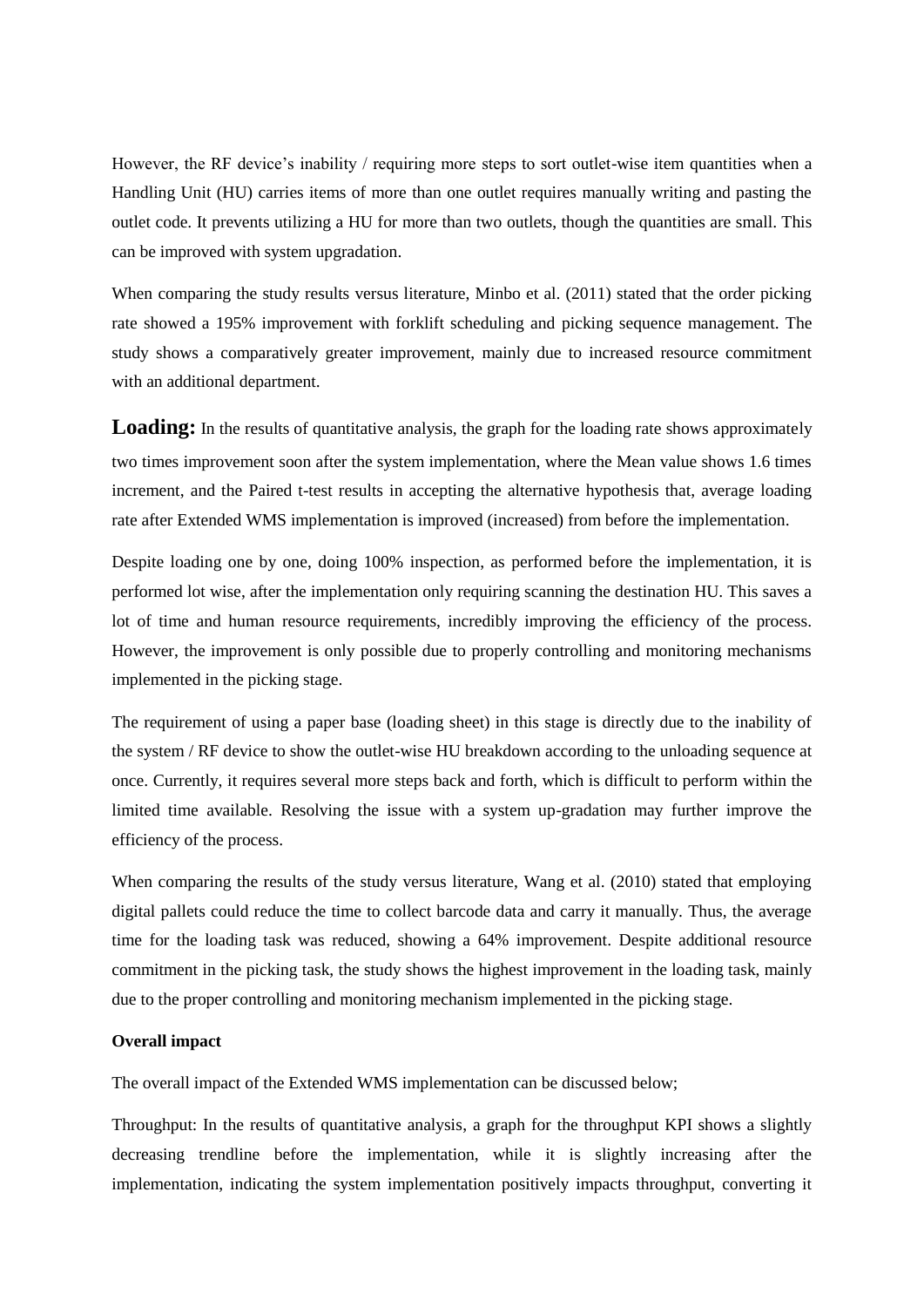However, the RF device's inability / requiring more steps to sort outlet-wise item quantities when a Handling Unit (HU) carries items of more than one outlet requires manually writing and pasting the outlet code. It prevents utilizing a HU for more than two outlets, though the quantities are small. This can be improved with system upgradation.

When comparing the study results versus literature, Minbo et al. (2011) stated that the order picking rate showed a 195% improvement with forklift scheduling and picking sequence management. The study shows a comparatively greater improvement, mainly due to increased resource commitment with an additional department.

**Loading:** In the results of quantitative analysis, the graph for the loading rate shows approximately two times improvement soon after the system implementation, where the Mean value shows 1.6 times increment, and the Paired t-test results in accepting the alternative hypothesis that, average loading rate after Extended WMS implementation is improved (increased) from before the implementation.

Despite loading one by one, doing 100% inspection, as performed before the implementation, it is performed lot wise, after the implementation only requiring scanning the destination HU. This saves a lot of time and human resource requirements, incredibly improving the efficiency of the process. However, the improvement is only possible due to properly controlling and monitoring mechanisms implemented in the picking stage.

The requirement of using a paper base (loading sheet) in this stage is directly due to the inability of the system / RF device to show the outlet-wise HU breakdown according to the unloading sequence at once. Currently, it requires several more steps back and forth, which is difficult to perform within the limited time available. Resolving the issue with a system up-gradation may further improve the efficiency of the process.

When comparing the results of the study versus literature, Wang et al. (2010) stated that employing digital pallets could reduce the time to collect barcode data and carry it manually. Thus, the average time for the loading task was reduced, showing a 64% improvement. Despite additional resource commitment in the picking task, the study shows the highest improvement in the loading task, mainly due to the proper controlling and monitoring mechanism implemented in the picking stage.

# **Overall impact**

The overall impact of the Extended WMS implementation can be discussed below;

Throughput: In the results of quantitative analysis, a graph for the throughput KPI shows a slightly decreasing trendline before the implementation, while it is slightly increasing after the implementation, indicating the system implementation positively impacts throughput, converting it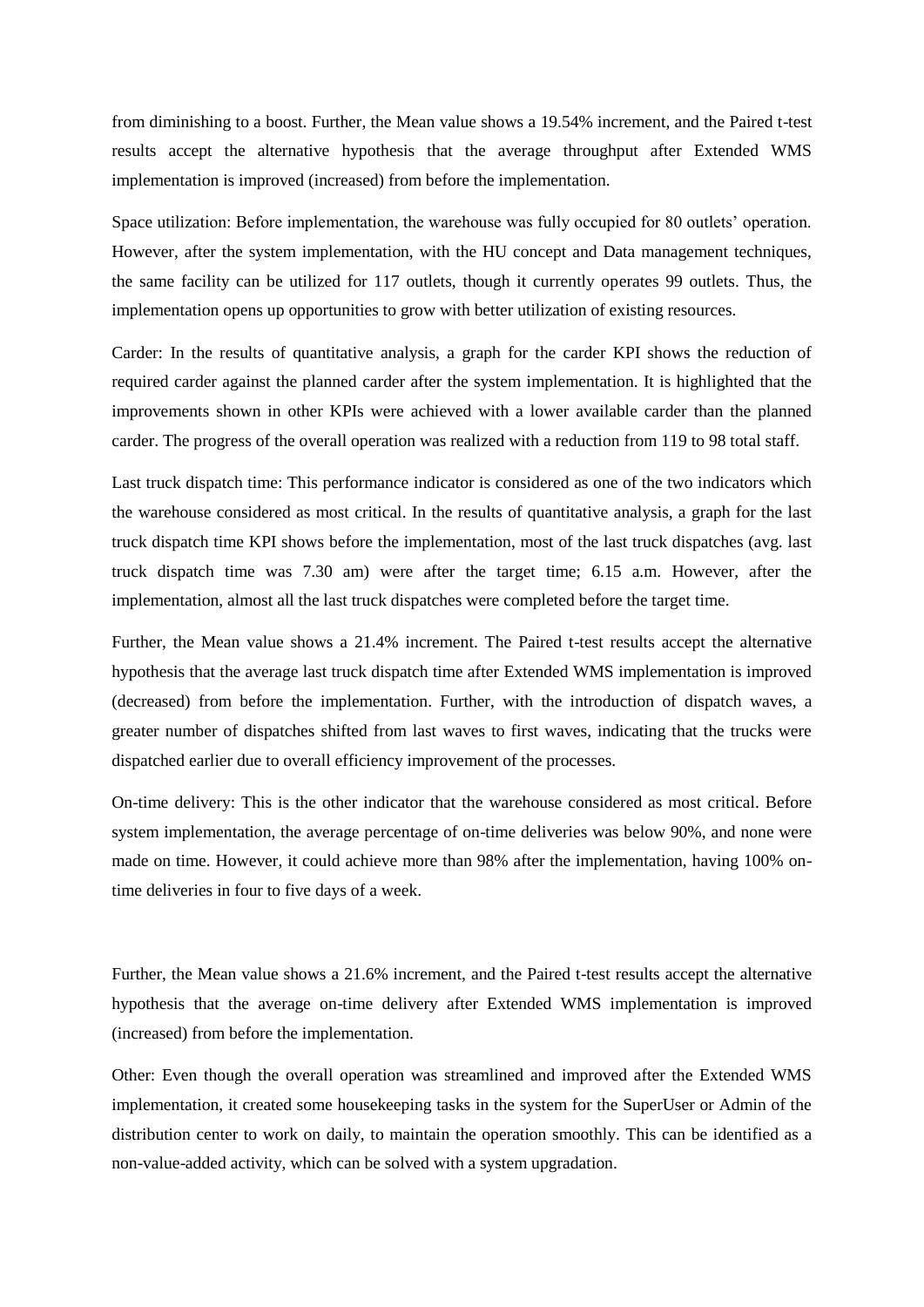from diminishing to a boost. Further, the Mean value shows a 19.54% increment, and the Paired t-test results accept the alternative hypothesis that the average throughput after Extended WMS implementation is improved (increased) from before the implementation.

Space utilization: Before implementation, the warehouse was fully occupied for 80 outlets' operation. However, after the system implementation, with the HU concept and Data management techniques, the same facility can be utilized for 117 outlets, though it currently operates 99 outlets. Thus, the implementation opens up opportunities to grow with better utilization of existing resources.

Carder: In the results of quantitative analysis, a graph for the carder KPI shows the reduction of required carder against the planned carder after the system implementation. It is highlighted that the improvements shown in other KPIs were achieved with a lower available carder than the planned carder. The progress of the overall operation was realized with a reduction from 119 to 98 total staff.

Last truck dispatch time: This performance indicator is considered as one of the two indicators which the warehouse considered as most critical. In the results of quantitative analysis, a graph for the last truck dispatch time KPI shows before the implementation, most of the last truck dispatches (avg. last truck dispatch time was 7.30 am) were after the target time; 6.15 a.m. However, after the implementation, almost all the last truck dispatches were completed before the target time.

Further, the Mean value shows a 21.4% increment. The Paired t-test results accept the alternative hypothesis that the average last truck dispatch time after Extended WMS implementation is improved (decreased) from before the implementation. Further, with the introduction of dispatch waves, a greater number of dispatches shifted from last waves to first waves, indicating that the trucks were dispatched earlier due to overall efficiency improvement of the processes.

On-time delivery: This is the other indicator that the warehouse considered as most critical. Before system implementation, the average percentage of on-time deliveries was below 90%, and none were made on time. However, it could achieve more than 98% after the implementation, having 100% ontime deliveries in four to five days of a week.

Further, the Mean value shows a 21.6% increment, and the Paired t-test results accept the alternative hypothesis that the average on-time delivery after Extended WMS implementation is improved (increased) from before the implementation.

Other: Even though the overall operation was streamlined and improved after the Extended WMS implementation, it created some housekeeping tasks in the system for the SuperUser or Admin of the distribution center to work on daily, to maintain the operation smoothly. This can be identified as a non-value-added activity, which can be solved with a system upgradation.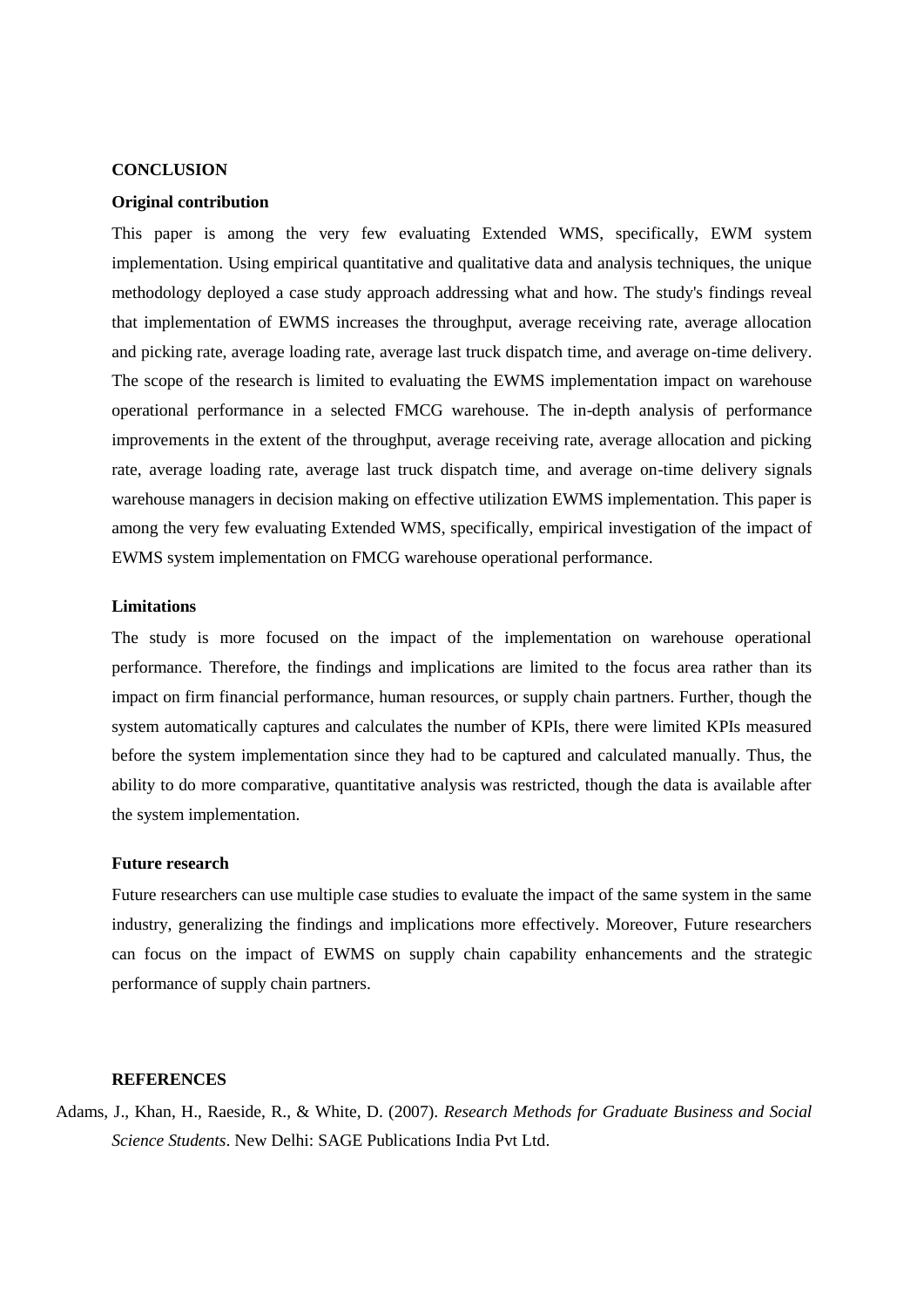#### **CONCLUSION**

#### **Original contribution**

This paper is among the very few evaluating Extended WMS, specifically, EWM system implementation. Using empirical quantitative and qualitative data and analysis techniques, the unique methodology deployed a case study approach addressing what and how. The study's findings reveal that implementation of EWMS increases the throughput, average receiving rate, average allocation and picking rate, average loading rate, average last truck dispatch time, and average on-time delivery. The scope of the research is limited to evaluating the EWMS implementation impact on warehouse operational performance in a selected FMCG warehouse. The in-depth analysis of performance improvements in the extent of the throughput, average receiving rate, average allocation and picking rate, average loading rate, average last truck dispatch time, and average on-time delivery signals warehouse managers in decision making on effective utilization EWMS implementation. This paper is among the very few evaluating Extended WMS, specifically, empirical investigation of the impact of EWMS system implementation on FMCG warehouse operational performance.

# **Limitations**

The study is more focused on the impact of the implementation on warehouse operational performance. Therefore, the findings and implications are limited to the focus area rather than its impact on firm financial performance, human resources, or supply chain partners. Further, though the system automatically captures and calculates the number of KPIs, there were limited KPIs measured before the system implementation since they had to be captured and calculated manually. Thus, the ability to do more comparative, quantitative analysis was restricted, though the data is available after the system implementation.

#### **Future research**

Future researchers can use multiple case studies to evaluate the impact of the same system in the same industry, generalizing the findings and implications more effectively. Moreover, Future researchers can focus on the impact of EWMS on supply chain capability enhancements and the strategic performance of supply chain partners.

### **REFERENCES**

Adams, J., Khan, H., Raeside, R., & White, D. (2007). *Research Methods for Graduate Business and Social Science Students*. New Delhi: SAGE Publications India Pvt Ltd.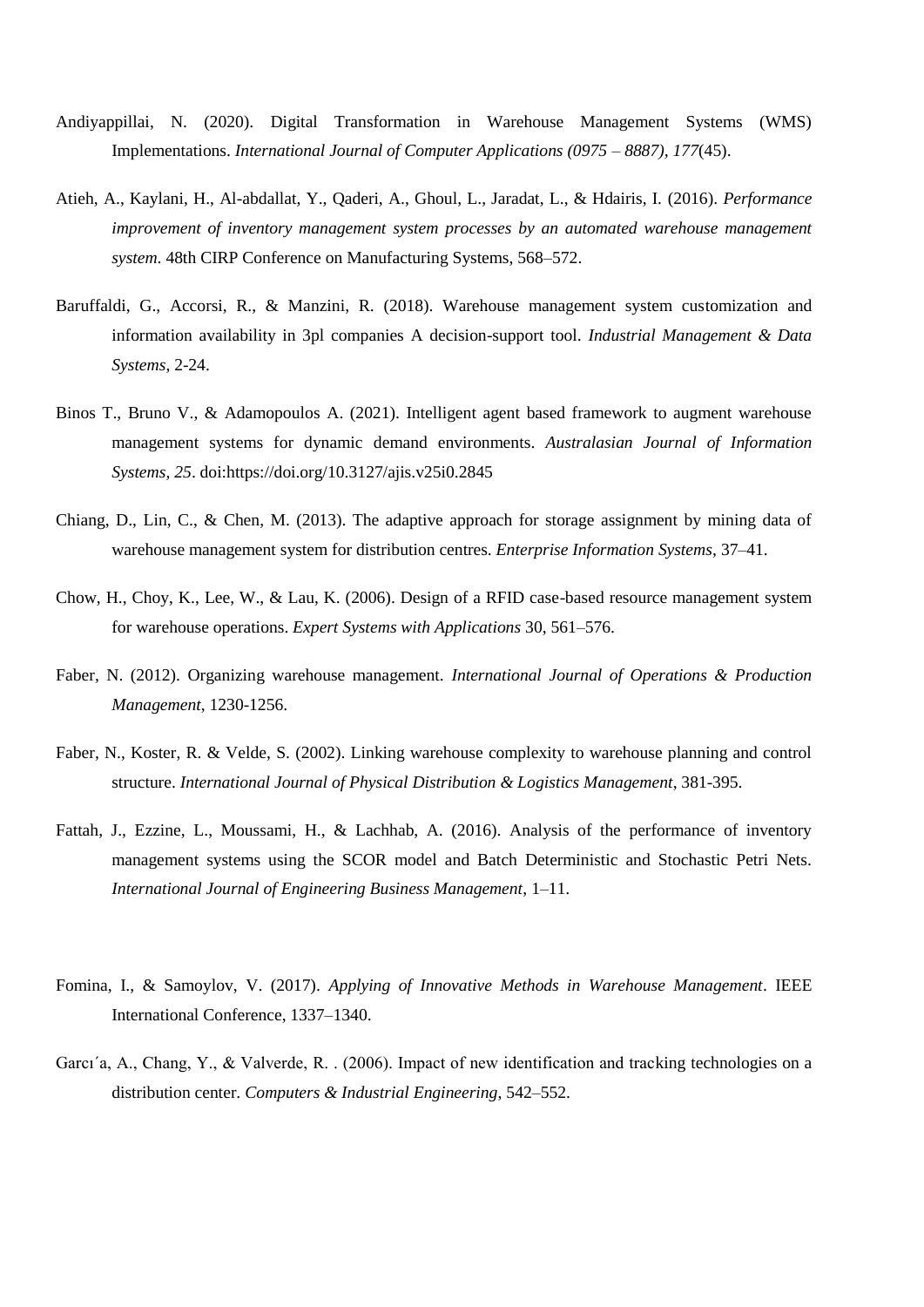- Andiyappillai, N. (2020). Digital Transformation in Warehouse Management Systems (WMS) Implementations. *International Journal of Computer Applications (0975 – 8887), 177*(45).
- Atieh, A., Kaylani, H., Al-abdallat, Y., Qaderi, A., Ghoul, L., Jaradat, L., & Hdairis, I. (2016). *Performance improvement of inventory management system processes by an automated warehouse management system*. 48th CIRP Conference on Manufacturing Systems, 568–572.
- Baruffaldi, G., Accorsi, R., & Manzini, R. (2018). Warehouse management system customization and information availability in 3pl companies A decision-support tool. *Industrial Management & Data Systems*, 2-24.
- Binos T., Bruno V., & Adamopoulos A. (2021). Intelligent agent based framework to augment warehouse management systems for dynamic demand environments. *Australasian Journal of Information Systems, 25*. doi:https://doi.org/10.3127/ajis.v25i0.2845
- Chiang, D., Lin, C., & Chen, M. (2013). The adaptive approach for storage assignment by mining data of warehouse management system for distribution centres. *Enterprise Information Systems*, 37–41.
- Chow, H., Choy, K., Lee, W., & Lau, K. (2006). Design of a RFID case-based resource management system for warehouse operations. *Expert Systems with Applications* 30, 561–576.
- Faber, N. (2012). Organizing warehouse management. *International Journal of Operations & Production Management*, 1230-1256.
- Faber, N., Koster, R. & Velde, S. (2002). Linking warehouse complexity to warehouse planning and control structure. *International Journal of Physical Distribution & Logistics Management*, 381-395.
- Fattah, J., Ezzine, L., Moussami, H., & Lachhab, A. (2016). Analysis of the performance of inventory management systems using the SCOR model and Batch Deterministic and Stochastic Petri Nets. *International Journal of Engineering Business Management*, 1–11.
- Fomina, I., & Samoylov, V. (2017). *Applying of Innovative Methods in Warehouse Management*. IEEE International Conference, 1337–1340.
- Garcı´a, A., Chang, Y., & Valverde, R. . (2006). Impact of new identification and tracking technologies on a distribution center. *Computers & Industrial Engineering*, 542–552.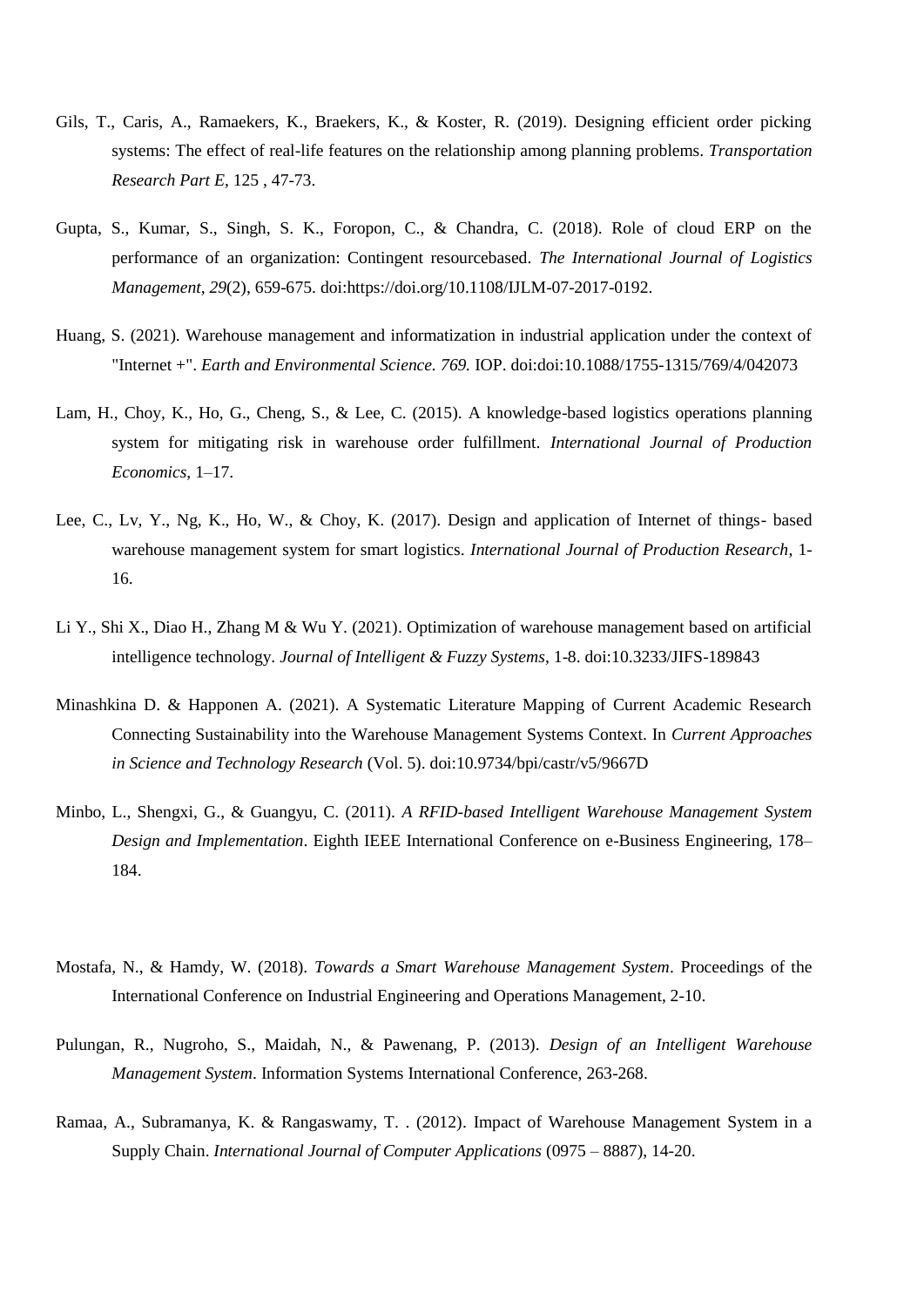- Gils, T., Caris, A., Ramaekers, K., Braekers, K., & Koster, R. (2019). Designing efficient order picking systems: The effect of real-life features on the relationship among planning problems. *Transportation Research Part E*, 125 , 47-73.
- Gupta, S., Kumar, S., Singh, S. K., Foropon, C., & Chandra, C. (2018). Role of cloud ERP on the performance of an organization: Contingent resourcebased. *The International Journal of Logistics Management, 29*(2), 659-675. doi:https://doi.org/10.1108/IJLM-07-2017-0192.
- Huang, S. (2021). Warehouse management and informatization in industrial application under the context of "Internet +". *Earth and Environmental Science. 769.* IOP. doi:doi:10.1088/1755-1315/769/4/042073
- Lam, H., Choy, K., Ho, G., Cheng, S., & Lee, C. (2015). A knowledge-based logistics operations planning system for mitigating risk in warehouse order fulfillment. *International Journal of Production Economics*, 1–17.
- Lee, C., Lv, Y., Ng, K., Ho, W., & Choy, K. (2017). Design and application of Internet of things- based warehouse management system for smart logistics. *International Journal of Production Research*, 1- 16.
- Li Y., Shi X., Diao H., Zhang M & Wu Y. (2021). Optimization of warehouse management based on artificial intelligence technology. *Journal of Intelligent & Fuzzy Systems*, 1-8. doi:10.3233/JIFS-189843
- Minashkina D. & Happonen A. (2021). A Systematic Literature Mapping of Current Academic Research Connecting Sustainability into the Warehouse Management Systems Context. In *Current Approaches in Science and Technology Research* (Vol. 5). doi:10.9734/bpi/castr/v5/9667D
- Minbo, L., Shengxi, G., & Guangyu, C. (2011). *A RFID-based Intelligent Warehouse Management System Design and Implementation*. Eighth IEEE International Conference on e-Business Engineering, 178– 184.
- Mostafa, N., & Hamdy, W. (2018). *Towards a Smart Warehouse Management System*. Proceedings of the International Conference on Industrial Engineering and Operations Management, 2-10.
- Pulungan, R., Nugroho, S., Maidah, N., & Pawenang, P. (2013). *Design of an Intelligent Warehouse Management System*. Information Systems International Conference, 263-268.
- Ramaa, A., Subramanya, K. & Rangaswamy, T. . (2012). Impact of Warehouse Management System in a Supply Chain. *International Journal of Computer Applications* (0975 – 8887), 14-20.